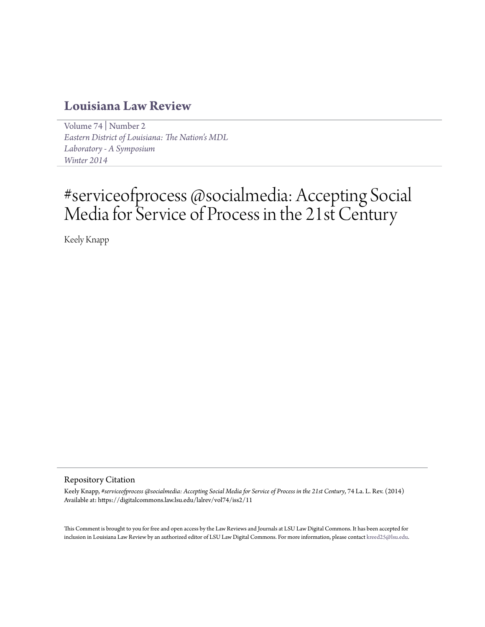# **[Louisiana Law Review](https://digitalcommons.law.lsu.edu/lalrev)**

[Volume 74](https://digitalcommons.law.lsu.edu/lalrev/vol74) | [Number 2](https://digitalcommons.law.lsu.edu/lalrev/vol74/iss2) *[Eastern District of Louisiana: The Nation's MDL](https://digitalcommons.law.lsu.edu/lalrev/vol74/iss2) [Laboratory - A Symposium](https://digitalcommons.law.lsu.edu/lalrev/vol74/iss2) [Winter 2014](https://digitalcommons.law.lsu.edu/lalrev/vol74/iss2)*

# #serviceofprocess @socialmedia: Accepting Social Media for Service of Process in the 21st Century

Keely Knapp

#### Repository Citation

Keely Knapp, *#serviceofprocess @socialmedia: Accepting Social Media for Service of Process in the 21st Century*, 74 La. L. Rev. (2014) Available at: https://digitalcommons.law.lsu.edu/lalrev/vol74/iss2/11

This Comment is brought to you for free and open access by the Law Reviews and Journals at LSU Law Digital Commons. It has been accepted for inclusion in Louisiana Law Review by an authorized editor of LSU Law Digital Commons. For more information, please contact [kreed25@lsu.edu](mailto:kreed25@lsu.edu).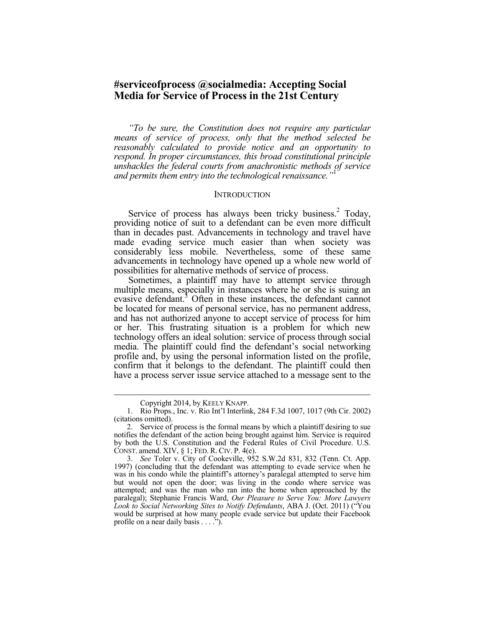# **#serviceofprocess @socialmedia: Accepting Social Media for Service of Process in the 21st Century**

*"To be sure, the Constitution does not require any particular means of service of process, only that the method selected be reasonably calculated to provide notice and an opportunity to respond. In proper circumstances, this broad constitutional principle unshackles the federal courts from anachronistic methods of service and permits them entry into the technological renaissance.* 

#### **INTRODUCTION**

Service of process has always been tricky business.<sup>2</sup> Today, providing notice of suit to a defendant can be even more difficult than in decades past. Advancements in technology and travel have made evading service much easier than when society was considerably less mobile. Nevertheless, some of these same advancements in technology have opened up a whole new world of possibilities for alternative methods of service of process.

Sometimes, a plaintiff may have to attempt service through multiple means, especially in instances where he or she is suing an evasive defendant.<sup>3</sup> Often in these instances, the defendant cannot be located for means of personal service, has no permanent address, and has not authorized anyone to accept service of process for him or her. This frustrating situation is a problem for which new technology offers an ideal solution: service of process through social media. The plaintiff could find the defendant's social networking profile and, by using the personal information listed on the profile, confirm that it belongs to the defendant. The plaintiff could then have a process server issue service attached to a message sent to the

Copyright 2014, by KEELY KNAPP.

 <sup>1.</sup> Rio Props., Inc. v. Rio Int'l Interlink, 284 F.3d 1007, 1017 (9th Cir. 2002) (citations omitted).

 <sup>2.</sup> Service of process is the formal means by which a plaintiff desiring to sue notifies the defendant of the action being brought against him. Service is required by both the U.S. Constitution and the Federal Rules of Civil Procedure. U.S. CONST. amend. XIV, § 1; FED. R. CIV. P. 4(e).

 <sup>3.</sup> *See* Toler v. City of Cookeville, 952 S.W.2d 831, 832 (Tenn. Ct. App. 1997) (concluding that the defendant was attempting to evade service when he was in his condo while the plaintiff's attorney's paralegal attempted to serve him but would not open the door; was living in the condo where service was attempted; and was the man who ran into the home when approached by the paralegal); Stephanie Francis Ward, *Our Pleasure to Serve You: More Lawyers Look to Social Networking Sites to Notify Defendants*, ABA J. (Oct. 2011) ("You would be surprised at how many people evade service but update their Facebook profile on a near daily basis . . . .").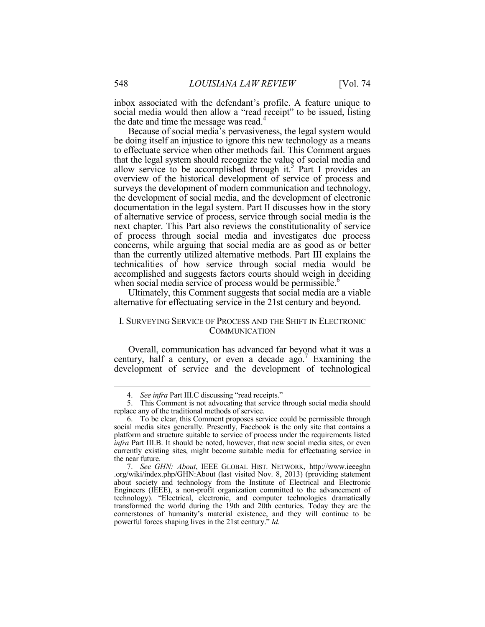inbox associated with the defendant's profile. A feature unique to social media would then allow a "read receipt" to be issued, listing the date and time the message was read.<sup>4</sup>

Because of social media's pervasiveness, the legal system would be doing itself an injustice to ignore this new technology as a means to effectuate service when other methods fail. This Comment argues that the legal system should recognize the value of social media and allow service to be accomplished through it.<sup>5</sup> Part I provides an overview of the historical development of service of process and surveys the development of modern communication and technology, the development of social media, and the development of electronic documentation in the legal system. Part II discusses how in the story of alternative service of process, service through social media is the next chapter. This Part also reviews the constitutionality of service of process through social media and investigates due process concerns, while arguing that social media are as good as or better than the currently utilized alternative methods. Part III explains the technicalities of how service through social media would be accomplished and suggests factors courts should weigh in deciding when social media service of process would be permissible.<sup>6</sup>

Ultimately, this Comment suggests that social media are a viable alternative for effectuating service in the 21st century and beyond.

# I. SURVEYING SERVICE OF PROCESS AND THE SHIFT IN ELECTRONIC **COMMUNICATION**

Overall, communication has advanced far beyond what it was a century, half a century, or even a decade  $ago.<sup>7</sup>$  Examining the development of service and the development of technological

 <sup>4.</sup> *See infra* Part III.C discussing "read receipts."

 <sup>5.</sup> This Comment is not advocating that service through social media should replace any of the traditional methods of service.

 <sup>6.</sup> To be clear, this Comment proposes service could be permissible through social media sites generally. Presently, Facebook is the only site that contains a platform and structure suitable to service of process under the requirements listed *infra* Part III.B. It should be noted, however, that new social media sites, or even currently existing sites, might become suitable media for effectuating service in the near future.

 <sup>7.</sup> *See GHN: About*, IEEE GLOBAL HIST. NETWORK, http://www.ieeeghn .org/wiki/index.php/GHN:About (last visited Nov. 8, 2013) (providing statement about society and technology from the Institute of Electrical and Electronic Engineers (IEEE), a non-profit organization committed to the advancement of technology). "Electrical, electronic, and computer technologies dramatically transformed the world during the 19th and 20th centuries. Today they are the cornerstones of humanity's material existence, and they will continue to be powerful forces shaping lives in the 21st century." *Id.*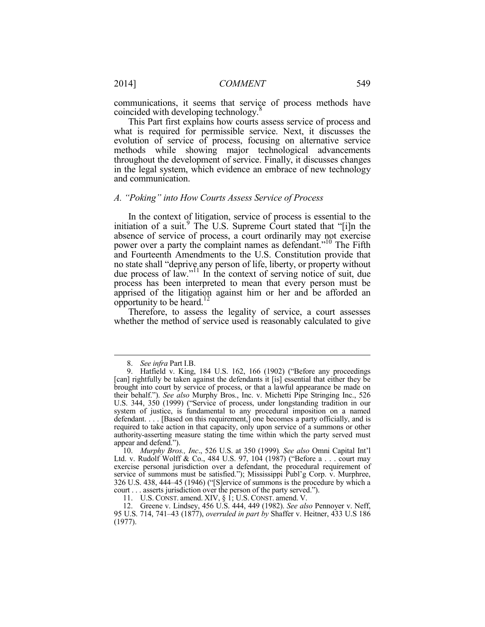communications, it seems that service of process methods have coincided with developing technology.

This Part first explains how courts assess service of process and what is required for permissible service. Next, it discusses the evolution of service of process, focusing on alternative service methods while showing major technological advancements throughout the development of service. Finally, it discusses changes in the legal system, which evidence an embrace of new technology and communication.

#### *A. "Poking" into How Courts Assess Service of Process*

In the context of litigation, service of process is essential to the initiation of a suit.<sup>9</sup> The U.S. Supreme Court stated that "[i]n the absence of service of process, a court ordinarily may not exercise power over a party the complaint names as defendant."10 The Fifth and Fourteenth Amendments to the U.S. Constitution provide that no state shall "deprive any person of life, liberty, or property without due process of law."11 In the context of serving notice of suit, due process has been interpreted to mean that every person must be apprised of the litigation against him or her and be afforded an opportunity to be heard. $12$ 

Therefore, to assess the legality of service, a court assesses whether the method of service used is reasonably calculated to give

<u>.</u>

 <sup>8.</sup> *See infra* Part I.B.

 <sup>9.</sup> Hatfield v. King, 184 U.S. 162, 166 (1902) ("Before any proceedings [can] rightfully be taken against the defendants it [is] essential that either they be brought into court by service of process, or that a lawful appearance be made on their behalf."). *See also* Murphy Bros., Inc. v. Michetti Pipe Stringing Inc., 526 U.S. 344, 350 (1999) ("Service of process, under longstanding tradition in our system of justice, is fundamental to any procedural imposition on a named defendant. . . . [Based on this requirement,] one becomes a party officially, and is required to take action in that capacity, only upon service of a summons or other authority-asserting measure stating the time within which the party served must appear and defend.").

 <sup>10.</sup> *Murphy Bros., Inc*., 526 U.S. at 350 (1999)*. See also* Omni Capital Int'l Ltd. v. Rudolf Wolff & Co., 484 U.S. 97, 104 (1987) ("Before a . . . court may exercise personal jurisdiction over a defendant, the procedural requirement of service of summons must be satisfied."); Mississippi Publ'g Corp. v. Murphree, 326 U.S. 438, 444–45 (1946) ("[S]ervice of summons is the procedure by which a court . . . asserts jurisdiction over the person of the party served.").

 <sup>11.</sup> U.S. CONST. amend. XIV, § 1; U.S. CONST. amend. V.

 <sup>12.</sup> Greene v. Lindsey, 456 U.S. 444, 449 (1982). *See also* Pennoyer v. Neff, 95 U.S. 714, 741–43 (1877), *overruled in part by* Shaffer v. Heitner, 433 U.S 186 (1977).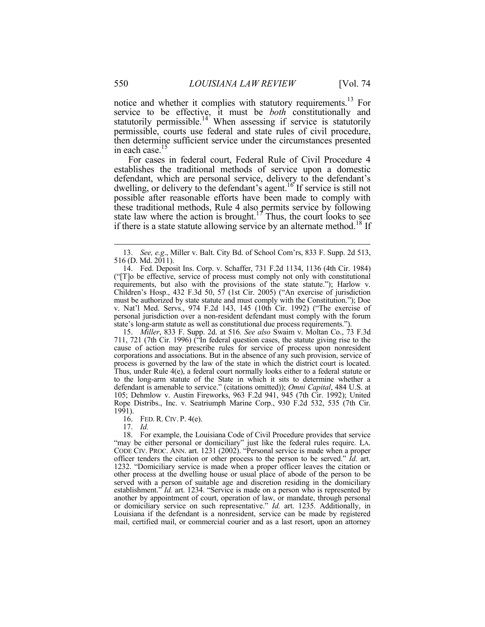notice and whether it complies with statutory requirements.13 For service to be effective, it must be *both* constitutionally and statutorily permissible.<sup>14</sup> When assessing if service is statutorily permissible, courts use federal and state rules of civil procedure, then determine sufficient service under the circumstances presented in each case.15

For cases in federal court, Federal Rule of Civil Procedure 4 establishes the traditional methods of service upon a domestic defendant, which are personal service, delivery to the defendant's dwelling, or delivery to the defendant's agent.<sup>16</sup> If service is still not possible after reasonable efforts have been made to comply with these traditional methods, Rule 4 also permits service by following state law where the action is brought.<sup>17</sup> Thus, the court looks to see if there is a state statute allowing service by an alternate method.<sup>18</sup> If

 15. *Miller*, 833 F. Supp. 2d. at 516*. See also* Swaim v. Moltan Co., 73 F.3d 711, 721 (7th Cir. 1996) ("In federal question cases, the statute giving rise to the cause of action may prescribe rules for service of process upon nonresident corporations and associations. But in the absence of any such provision, service of process is governed by the law of the state in which the district court is located. Thus, under Rule 4(e), a federal court normally looks either to a federal statute or to the long-arm statute of the State in which it sits to determine whether a defendant is amenable to service." (citations omitted)); *Omni Capital*, 484 U.S. at 105; Dehmlow v. Austin Fireworks, 963 F.2d 941, 945 (7th Cir. 1992); United Rope Distribs., Inc. v. Seatriumph Marine Corp., 930 F.2d 532, 535 (7th Cir. 1991).

16. FED. R. CIV. P. 4(e).

17. *Id.*

 18. For example, the Louisiana Code of Civil Procedure provides that service "may be either personal or domiciliary" just like the federal rules require. LA. CODE CIV. PROC. ANN. art. 1231 (2002). "Personal service is made when a proper officer tenders the citation or other process to the person to be served." *Id.* art. 1232. "Domiciliary service is made when a proper officer leaves the citation or other process at the dwelling house or usual place of abode of the person to be served with a person of suitable age and discretion residing in the domiciliary establishment." *Id.* art. 1234. "Service is made on a person who is represented by another by appointment of court, operation of law, or mandate, through personal or domiciliary service on such representative." *Id.* art. 1235. Additionally, in Louisiana if the defendant is a nonresident, service can be made by registered mail, certified mail, or commercial courier and as a last resort, upon an attorney

 <sup>13.</sup> *See, e.g*., Miller v. Balt. City Bd. of School Com'rs, 833 F. Supp. 2d 513, 516 (D. Md. 2011).

 <sup>14.</sup> Fed. Deposit Ins. Corp. v. Schaffer, 731 F.2d 1134, 1136 (4th Cir. 1984) ("[T]o be effective, service of process must comply not only with constitutional requirements, but also with the provisions of the state statute."); Harlow v. Children's Hosp., 432 F.3d 50, 57 (1st Cir. 2005) ("An exercise of jurisdiction must be authorized by state statute and must comply with the Constitution."); Doe v. Nat'l Med. Servs., 974 F.2d 143, 145 (10th Cir. 1992) ("The exercise of personal jurisdiction over a non-resident defendant must comply with the forum state's long-arm statute as well as constitutional due process requirements.").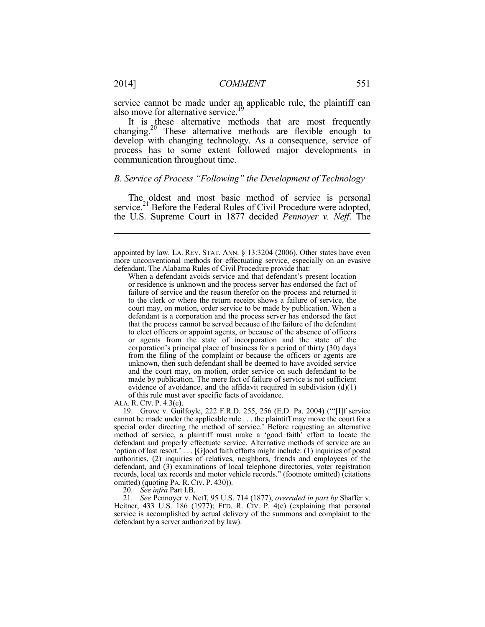service cannot be made under an applicable rule, the plaintiff can also move for alternative service.<sup>19</sup>

It is these alternative methods that are most frequently changing.<sup>20</sup> These alternative methods are flexible enough to develop with changing technology. As a consequence, service of process has to some extent followed major developments in communication throughout time.

# *B. Service of Process "Following" the Development of Technology*

The oldest and most basic method of service is personal service.<sup>21</sup> Before the Federal Rules of Civil Procedure were adopted, the U.S. Supreme Court in 1877 decided *Pennoyer v. Neff*. The

ALA. R. CIV. P. 4.3(c).

 19. Grove v. Guilfoyle, 222 F.R.D. 255, 256 (E.D. Pa. 2004) ("'[I]f service cannot be made under the applicable rule . . . the plaintiff may move the court for a special order directing the method of service.' Before requesting an alternative method of service, a plaintiff must make a 'good faith' effort to locate the defendant and properly effectuate service. Alternative methods of service are an 'option of last resort.' . . . [G]ood faith efforts might include: (1) inquiries of postal authorities, (2) inquiries of relatives, neighbors, friends and employees of the defendant, and (3) examinations of local telephone directories, voter registration records, local tax records and motor vehicle records." (footnote omitted) (citations omitted) (quoting PA. R. CIV. P. 430)).

20. *See infra* Part I.B.

 21. *See* Pennoyer v. Neff, 95 U.S. 714 (1877), *overruled in part by* Shaffer v. Heitner, 433 U.S. 186 (1977); FED. R. Civ. P. 4(e) (explaining that personal service is accomplished by actual delivery of the summons and complaint to the defendant by a server authorized by law).

appointed by law. LA. REV. STAT. ANN. § 13:3204 (2006). Other states have even more unconventional methods for effectuating service, especially on an evasive defendant. The Alabama Rules of Civil Procedure provide that:

When a defendant avoids service and that defendant's present location or residence is unknown and the process server has endorsed the fact of failure of service and the reason therefor on the process and returned it to the clerk or where the return receipt shows a failure of service, the court may, on motion, order service to be made by publication. When a defendant is a corporation and the process server has endorsed the fact that the process cannot be served because of the failure of the defendant to elect officers or appoint agents, or because of the absence of officers or agents from the state of incorporation and the state of the corporation's principal place of business for a period of thirty (30) days from the filing of the complaint or because the officers or agents are unknown, then such defendant shall be deemed to have avoided service and the court may, on motion, order service on such defendant to be made by publication. The mere fact of failure of service is not sufficient evidence of avoidance, and the affidavit required in subdivision  $(d)(1)$ of this rule must aver specific facts of avoidance.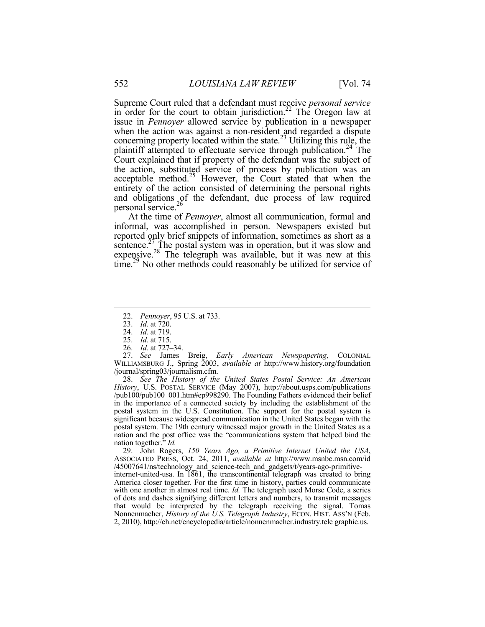Supreme Court ruled that a defendant must receive *personal service*  in order for the court to obtain jurisdiction.<sup>22</sup> The Oregon law at issue in *Pennoyer* allowed service by publication in a newspaper when the action was against a non-resident and regarded a dispute concerning property located within the state.<sup>23</sup> Utilizing this rule, the plaintiff attempted to effectuate service through publication.<sup>24</sup> The Court explained that if property of the defendant was the subject of the action, substituted service of process by publication was an acceptable method. $25$  However, the Court stated that when the entirety of the action consisted of determining the personal rights and obligations of the defendant, due process of law required personal service.<sup>26</sup>

At the time of *Pennoyer*, almost all communication, formal and informal, was accomplished in person. Newspapers existed but reported only brief snippets of information, sometimes as short as a sentence.<sup>27</sup> The postal system was in operation, but it was slow and expensive. $^{28}$  The telegraph was available, but it was new at this  $time^{29}$  No other methods could reasonably be utilized for service of

<u>.</u>

 27. *See* James Breig, *Early American Newspapering*, COLONIAL WILLIAMSBURG J., Spring 2003, *available at* http://www.history.org/foundation /journal/spring03/journalism.cfm.

 28. *See The History of the United States Postal Service: An American History*, U.S. POSTAL SERVICE (May 2007), http://about.usps.com/publications /pub100/pub100\_001.htm#ep998290. The Founding Fathers evidenced their belief in the importance of a connected society by including the establishment of the postal system in the U.S. Constitution. The support for the postal system is significant because widespread communication in the United States began with the postal system. The 19th century witnessed major growth in the United States as a nation and the post office was the "communications system that helped bind the nation together." *Id.*

 29. John Rogers, *150 Years Ago, a Primitive Internet United the USA*, ASSOCIATED PRESS, Oct. 24, 2011, *available at* http://www.msnbc.msn.com/id /45007641/ns/technology\_and\_science-tech\_and\_gadgets/t/years-ago-primitiveinternet-united-usa. In  $1861$ , the transcontinental telegraph was created to bring America closer together. For the first time in history, parties could communicate with one another in almost real time. *Id.* The telegraph used Morse Code, a series of dots and dashes signifying different letters and numbers, to transmit messages that would be interpreted by the telegraph receiving the signal. Tomas Nonnenmacher, *History of the U.S. Telegraph Industry*, ECON. HIST. ASS'N (Feb. 2, 2010), http://eh.net/encyclopedia/article/nonnenmacher.industry.tele graphic.us.

 <sup>22.</sup> *Pennoyer*, 95 U.S. at 733.

 <sup>23.</sup> *Id.* at 720.

 <sup>24.</sup> *Id.* at 719.

 <sup>25.</sup> *Id.* at 715.

 <sup>26.</sup> *Id.* at 727–34.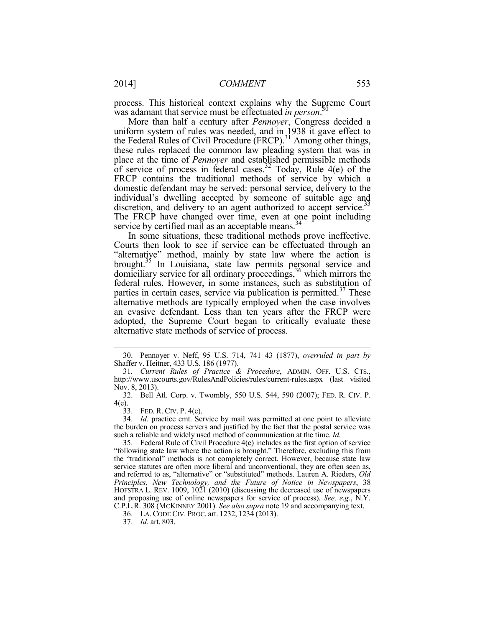process. This historical context explains why the Supreme Court was adamant that service must be effectuated *in person*. 30

More than half a century after *Pennoyer*, Congress decided a uniform system of rules was needed, and in 1938 it gave effect to the Federal Rules of Civil Procedure (FRCP).<sup>31</sup> Among other things, these rules replaced the common law pleading system that was in place at the time of *Pennoyer* and established permissible methods of service of process in federal cases.32 Today, Rule 4(e) of the FRCP contains the traditional methods of service by which a domestic defendant may be served: personal service, delivery to the individual's dwelling accepted by someone of suitable age and discretion, and delivery to an agent authorized to accept service.<sup>33</sup> The FRCP have changed over time, even at one point including service by certified mail as an acceptable means.<sup>34</sup>

In some situations, these traditional methods prove ineffective. Courts then look to see if service can be effectuated through an "alternative" method, mainly by state law where the action is brought.<sup>35</sup> In Louisiana, state law permits personal service and domiciliary service for all ordinary proceedings,<sup>36</sup> which mirrors the federal rules. However, in some instances, such as substitution of parties in certain cases, service via publication is permitted. $37$  These alternative methods are typically employed when the case involves an evasive defendant. Less than ten years after the FRCP were adopted, the Supreme Court began to critically evaluate these alternative state methods of service of process.

 <sup>30.</sup> Pennoyer v. Neff, 95 U.S. 714, 741–43 (1877), *overruled in part by*  Shaffer v. Heitner, 433 U.S. 186 (1977).

<sup>31</sup>*. Current Rules of Practice & Procedure*, ADMIN. OFF. U.S. CTS., http://www.uscourts.gov/RulesAndPolicies/rules/current-rules.aspx (last visited Nov. 8, 2013).

 <sup>32.</sup> Bell Atl. Corp. v. Twombly, 550 U.S. 544, 590 (2007); FED. R. CIV. P. 4(e).

 <sup>33.</sup> FED. R. CIV. P. 4(e).

 <sup>34.</sup> *Id.* practice cmt. Service by mail was permitted at one point to alleviate the burden on process servers and justified by the fact that the postal service was such a reliable and widely used method of communication at the time. *Id.*

 <sup>35.</sup> Federal Rule of Civil Procedure 4(e) includes as the first option of service "following state law where the action is brought." Therefore, excluding this from the "traditional" methods is not completely correct. However, because state law service statutes are often more liberal and unconventional, they are often seen as, and referred to as, "alternative" or "substituted" methods. Lauren A. Rieders, *Old Principles, New Technology, and the Future of Notice in Newspapers*, 38 HOFSTRA L. REV. 1009, 1021 (2010) (discussing the decreased use of newspapers and proposing use of online newspapers for service of process). *See, e.g.*, N.Y. C.P.L.R. 308 (MCKINNEY 2001). *See also supra* note 19 and accompanying text.

 <sup>36.</sup> LA. CODE CIV. PROC. art. 1232, 1234 (2013).

 <sup>37.</sup> *Id.* art. 803.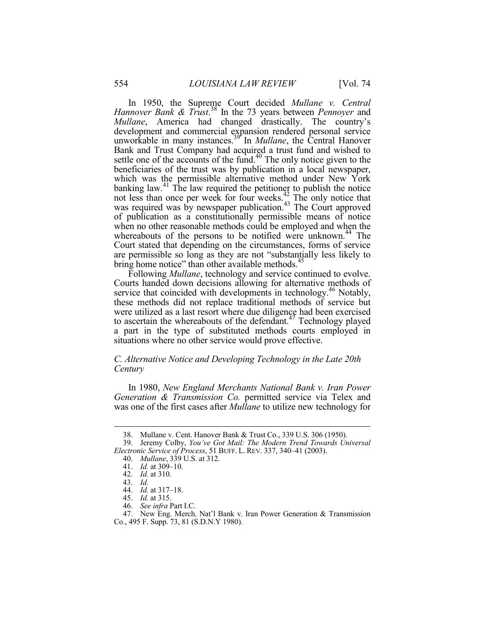In 1950, the Supreme Court decided *Mullane v. Central Hannover Bank & Trust*. 38 In the 73 years between *Pennoyer* and *Mullane*, America had changed drastically. The country's development and commercial expansion rendered personal service unworkable in many instances.<sup>39</sup> In *Mullane*, the Central Hanover Bank and Trust Company had acquired a trust fund and wished to settle one of the accounts of the fund. $40$  The only notice given to the beneficiaries of the trust was by publication in a local newspaper, which was the permissible alternative method under New York banking law. $41$  The law required the petitioner to publish the notice not less than once per week for four weeks. $^{42}_{4}$  The only notice that was required was by newspaper publication.<sup>43</sup> The Court approved of publication as a constitutionally permissible means of notice when no other reasonable methods could be employed and when the whereabouts of the persons to be notified were unknown.<sup>44</sup> The Court stated that depending on the circumstances, forms of service are permissible so long as they are not "substantially less likely to bring home notice" than other available methods.<sup>45</sup>

Following *Mullane*, technology and service continued to evolve. Courts handed down decisions allowing for alternative methods of service that coincided with developments in technology.<sup>46</sup> Notably, these methods did not replace traditional methods of service but were utilized as a last resort where due diligence had been exercised to ascertain the whereabouts of the defendant.<sup>47</sup> Technology played a part in the type of substituted methods courts employed in situations where no other service would prove effective.

# *C. Alternative Notice and Developing Technology in the Late 20th Century*

In 1980, *New England Merchants National Bank v. Iran Power Generation & Transmission Co.* permitted service via Telex and was one of the first cases after *Mullane* to utilize new technology for

<u>.</u>

 <sup>38.</sup> Mullane v. Cent. Hanover Bank & Trust Co., 339 U.S. 306 (1950).

 <sup>39.</sup> Jeremy Colby, *You've Got Mail: The Modern Trend Towards Universal Electronic Service of Process*, 51 BUFF. L. REV. 337, 340–41 (2003).

 <sup>40.</sup> *Mullane*, 339 U.S. at 312.

 <sup>41.</sup> *Id.* at 309–10.

 <sup>42.</sup> *Id.* at 310.

 <sup>43.</sup> *Id.*

 <sup>44.</sup> *Id.* at 317–18.

 <sup>45.</sup> *Id.* at 315.

 <sup>46.</sup> *See infra* Part I.C.

 <sup>47.</sup> New Eng. Merch. Nat'l Bank v. Iran Power Generation & Transmission Co., 495 F. Supp. 73, 81 (S.D.N.Y 1980).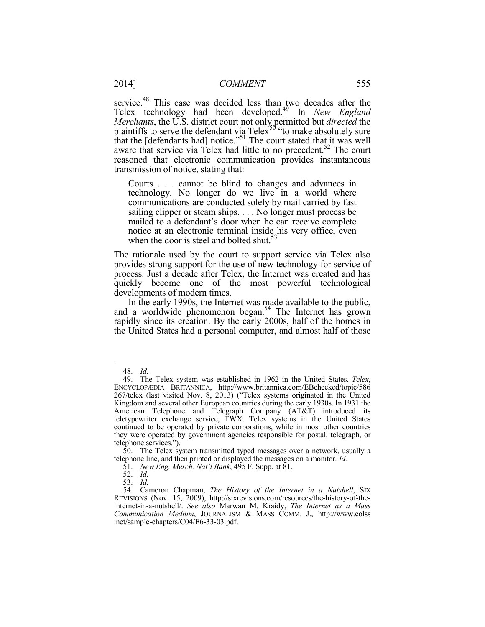service.<sup>48</sup> This case was decided less than two decades after the Telex technology had been developed.49 In *New England Merchants*, the U.S. district court not only permitted but *directed* the plaintiffs to serve the defendant via Telex<sup>50</sup> "to make absolutely sure that the [defendants had] notice."<sup>51</sup> The court stated that it was well aware that service via Telex had little to no precedent.<sup>52</sup> The court reasoned that electronic communication provides instantaneous transmission of notice, stating that:

Courts . . . cannot be blind to changes and advances in technology. No longer do we live in a world where communications are conducted solely by mail carried by fast sailing clipper or steam ships. . . . No longer must process be mailed to a defendant's door when he can receive complete notice at an electronic terminal inside his very office, even when the door is steel and bolted shut.<sup>53</sup>

The rationale used by the court to support service via Telex also provides strong support for the use of new technology for service of process. Just a decade after Telex, the Internet was created and has quickly become one of the most powerful technological developments of modern times.

In the early 1990s, the Internet was made available to the public, and a worldwide phenomenon began.<sup>54</sup> The Internet has grown rapidly since its creation. By the early 2000s, half of the homes in the United States had a personal computer, and almost half of those

 <sup>48.</sup> *Id.*

 <sup>49.</sup> The Telex system was established in 1962 in the United States. *Telex*, ENCYCLOPÆDIA BRITANNICA, http://www.britannica.com/EBchecked/topic/586 267/telex (last visited Nov. 8, 2013) ("Telex systems originated in the United Kingdom and several other European countries during the early 1930s. In 1931 the American Telephone and Telegraph Company (AT&T) introduced its teletypewriter exchange service, TWX. Telex systems in the United States continued to be operated by private corporations, while in most other countries they were operated by government agencies responsible for postal, telegraph, or telephone services.").

 <sup>50.</sup> The Telex system transmitted typed messages over a network, usually a telephone line, and then printed or displayed the messages on a monitor*. Id.*

 <sup>51.</sup> *New Eng. Merch. Nat'l Bank*, 495 F. Supp. at 81.

 <sup>52.</sup> *Id.*

 <sup>53.</sup> *Id.*

 <sup>54.</sup> Cameron Chapman, *The History of the Internet in a Nutshell*, SIX REVISIONS (Nov. 15, 2009), http://sixrevisions.com/resources/the-history-of-theinternet-in-a-nutshell/. *See also* Marwan M. Kraidy, *The Internet as a Mass Communication Medium*, JOURNALISM & MASS COMM. J., http://www.eolss .net/sample-chapters/C04/E6-33-03.pdf.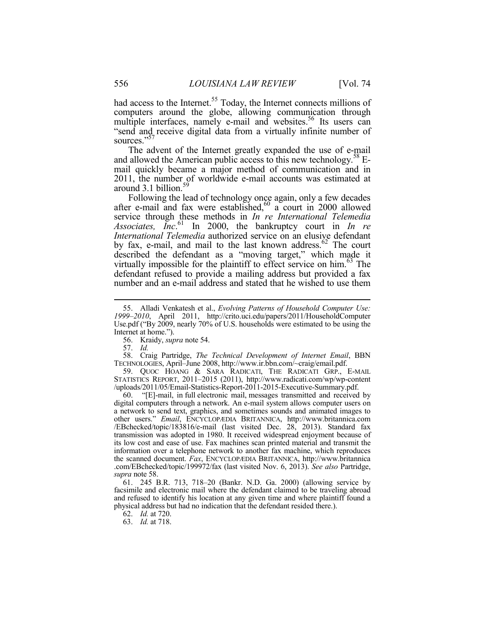had access to the Internet.<sup>55</sup> Today, the Internet connects millions of computers around the globe, allowing communication through multiple interfaces, namely e-mail and websites.<sup>56</sup> Its users can "send and receive digital data from a virtually infinite number of sources."<sup>57</sup>

The advent of the Internet greatly expanded the use of e-mail and allowed the American public access to this new technology.<sup>58</sup> Email quickly became a major method of communication and in 2011, the number of worldwide e-mail accounts was estimated at around  $3.1$  billion.<sup>59</sup> around 3.1 billion.<sup>59</sup><br>Following the lead of technology once again, only a few decades

after e-mail and fax were established, $60$  a court in 2000 allowed service through these methods in *In re International Telemedia Associates, Inc*. 61 In 2000, the bankruptcy court in *In re International Telemedia* authorized service on an elusive defendant by fax, e-mail, and mail to the last known address.<sup>62</sup> The court described the defendant as a "moving target," which made it virtually impossible for the plaintiff to effect service on him.<sup>63</sup> The defendant refused to provide a mailing address but provided a fax number and an e-mail address and stated that he wished to use them

56. Kraidy, *supra* note 54.

57. *Id.*

1

 58. Craig Partridge, *The Technical Development of Internet Email*, BBN TECHNOLOGIES, April–June 2008, http://www.ir.bbn.com/~craig/email.pdf.

 59. QUOC HOANG & SARA RADICATI, THE RADICATI GRP., E-MAIL STATISTICS REPORT, 2011–2015 (2011), http://www.radicati.com/wp/wp-content /uploads/2011/05/Email-Statistics-Report-2011-2015-Executive-Summary.pdf.

 60. "[E]-mail, in full electronic mail, messages transmitted and received by digital computers through a network. An e-mail system allows computer users on a network to send text, graphics, and sometimes sounds and animated images to other users." *Email*, ENCYCLOPÆDIA BRITANNICA, http://www.britannica.com /EBchecked/topic/183816/e-mail (last visited Dec. 28, 2013). Standard fax transmission was adopted in 1980. It received widespread enjoyment because of its low cost and ease of use. Fax machines scan printed material and transmit the information over a telephone network to another fax machine, which reproduces the scanned document. *Fax*, ENCYCLOPÆDIA BRITANNICA, http://www.britannica .com/EBchecked/topic/199972/fax (last visited Nov. 6, 2013). *See also* Partridge, *supra* note 58.

 61. 245 B.R. 713, 718–20 (Bankr. N.D. Ga. 2000) (allowing service by facsimile and electronic mail where the defendant claimed to be traveling abroad and refused to identify his location at any given time and where plaintiff found a physical address but had no indication that the defendant resided there.).

62. *Id.* at 720.

63. *Id.* at 718.

 <sup>55.</sup> Alladi Venkatesh et al., *Evolving Patterns of Household Computer Use: 1999–2010*, April 2011, http://crito.uci.edu/papers/2011/HouseholdComputer Use.pdf ("By 2009, nearly 70% of U.S. households were estimated to be using the Internet at home.").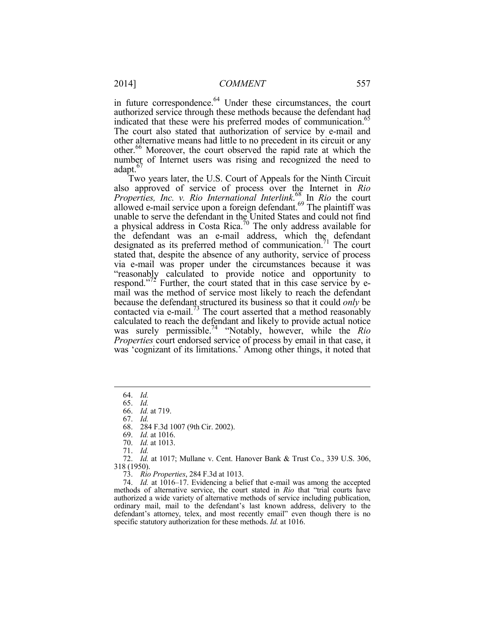in future correspondence.<sup>64</sup> Under these circumstances, the court authorized service through these methods because the defendant had indicated that these were his preferred modes of communication.<sup>65</sup> The court also stated that authorization of service by e-mail and other alternative means had little to no precedent in its circuit or any other.66 Moreover, the court observed the rapid rate at which the number of Internet users was rising and recognized the need to adapt.<sup>67</sup>

Two years later, the U.S. Court of Appeals for the Ninth Circuit also approved of service of process over the Internet in *Rio Properties, Inc. v. Rio International Interlink*. 68 In *Rio* the court allowed e-mail service upon a foreign defendant.<sup>69</sup> The plaintiff was unable to serve the defendant in the United States and could not find a physical address in Costa Rica.<sup>70</sup> The only address available for the defendant was an e-mail address, which the defendant designated as its preferred method of communication.<sup>71</sup> The court stated that, despite the absence of any authority, service of process via e-mail was proper under the circumstances because it was "reasonably calculated to provide notice and opportunity to respond."<sup>72</sup> Further, the court stated that in this case service by email was the method of service most likely to reach the defendant because the defendant structured its business so that it could *only* be contacted via e-mail.<sup>73</sup> The court asserted that a method reasonably calculated to reach the defendant and likely to provide actual notice was surely permissible.74 "Notably, however, while the *Rio Properties* court endorsed service of process by email in that case, it was 'cognizant of its limitations.' Among other things, it noted that

1

68. 284 F.3d 1007 (9th Cir. 2002).

69. *Id.* at 1016.

- 70. *Id.* at 1013.
- 71. *Id.*

 72. *Id.* at 1017; Mullane v. Cent. Hanover Bank & Trust Co., 339 U.S. 306, 318 (1950).

73. *Rio Properties*, 284 F.3d at 1013.

 74. *Id.* at 1016–17. Evidencing a belief that e-mail was among the accepted methods of alternative service, the court stated in *Rio* that "trial courts have authorized a wide variety of alternative methods of service including publication, ordinary mail, mail to the defendant's last known address, delivery to the defendant's attorney, telex, and most recently email" even though there is no specific statutory authorization for these methods. *Id.* at 1016.

 <sup>64.</sup> *Id.*

 <sup>65.</sup> *Id.*

 <sup>66.</sup> *Id.* at 719.

 <sup>67.</sup> *Id.*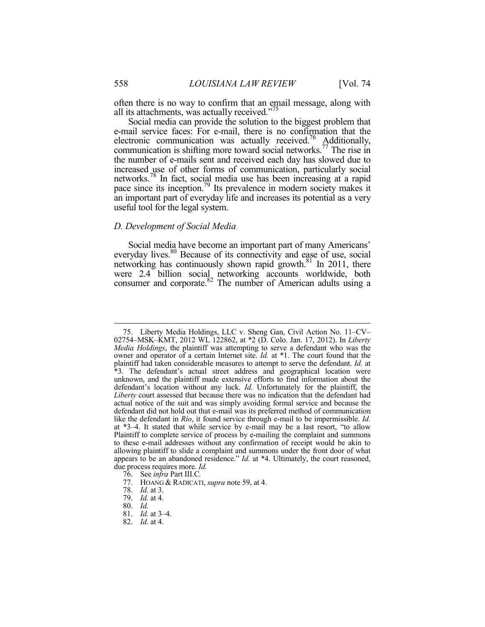often there is no way to confirm that an email message, along with all its attachments, was actually received."<sup>75</sup>

Social media can provide the solution to the biggest problem that e-mail service faces: For e-mail, there is no confirmation that the electronic communication was actually received.<sup>76</sup> Additionally, communication is shifting more toward social networks.<sup>77</sup> The rise in the number of e-mails sent and received each day has slowed due to increased use of other forms of communication, particularly social networks.78 In fact, social media use has been increasing at a rapid pace since its inception.<sup>79</sup> Its prevalence in modern society makes it an important part of everyday life and increases its potential as a very useful tool for the legal system.

# *D. Development of Social Media*

Social media have become an important part of many Americans' everyday lives.<sup>80</sup> Because of its connectivity and ease of use, social networking has continuously shown rapid growth.<sup>81</sup> In 2011, there were 2.4 billion social networking accounts worldwide, both consumer and corporate.<sup>82</sup> The number of American adults using a

 <sup>75.</sup> Liberty Media Holdings, LLC v. Sheng Gan, Civil Action No. 11–CV– 02754–MSK–KMT, 2012 WL 122862, at \*2 (D. Colo. Jan. 17, 2012). In *Liberty Media Holdings*, the plaintiff was attempting to serve a defendant who was the owner and operator of a certain Internet site. *Id.* at \*1. The court found that the plaintiff had taken considerable measures to attempt to serve the defendant. *Id.* at \*3. The defendant's actual street address and geographical location were unknown, and the plaintiff made extensive efforts to find information about the defendant's location without any luck. *Id.* Unfortunately for the plaintiff, the *Liberty* court assessed that because there was no indication that the defendant had actual notice of the suit and was simply avoiding formal service and because the defendant did not hold out that e-mail was its preferred method of communication like the defendant in *Rio*, it found service through e-mail to be impermissible. *Id.*  at \*3–4. It stated that while service by e-mail may be a last resort, "to allow Plaintiff to complete service of process by e-mailing the complaint and summons to these e-mail addresses without any confirmation of receipt would be akin to allowing plaintiff to slide a complaint and summons under the front door of what appears to be an abandoned residence." *Id.* at \*4. Ultimately, the court reasoned, due process requires more. *Id.* 

 <sup>76.</sup> See *infra* Part III.C*.*

 <sup>77.</sup> HOANG & RADICATI, *supra* note 59, at 4.

 <sup>78.</sup> *Id.* at 3.

 <sup>79.</sup> *Id.* at 4.

 <sup>80.</sup> *Id.*

 <sup>81.</sup> *Id.* at 3–4.

 <sup>82.</sup> *Id.* at 4.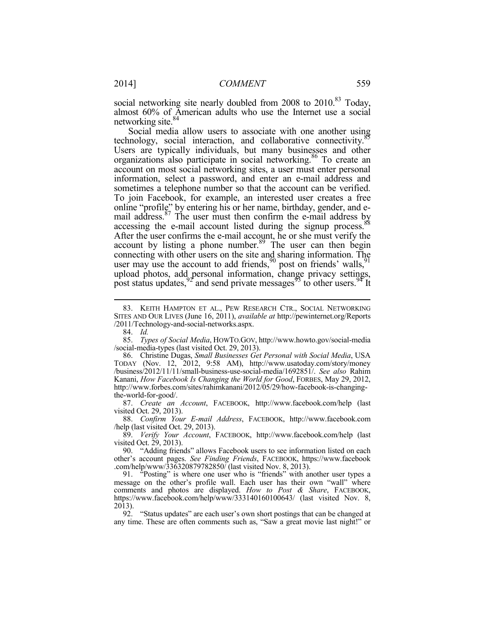social networking site nearly doubled from  $2008$  to  $2010$ .<sup>83</sup> Today, almost 60% of American adults who use the Internet use a social networking site.<sup>84</sup>

Social media allow users to associate with one another using technology, social interaction, and collaborative connectivity.<sup>85</sup> Users are typically individuals, but many businesses and other organizations also participate in social networking.<sup>86</sup> To create an account on most social networking sites, a user must enter personal information, select a password, and enter an e-mail address and sometimes a telephone number so that the account can be verified. To join Facebook, for example, an interested user creates a free online "profile" by entering his or her name, birthday, gender, and email address. $87$  The user must then confirm the e-mail address by accessing the e-mail account listed during the signup process. After the user confirms the e-mail account, he or she must verify the account by listing a phone number. $89$  The user can then begin connecting with other users on the site and sharing information. The user may use the account to add friends,  $90$  post on friends' walls,  $91$ upload photos, add personal information, change privacy settings, post status updates,  $92^\circ$  and send private messages  $93^\circ$  to other users.  $94^\circ$  It

84. *Id.*

1

 87. *Create an Account*, FACEBOOK, http://www.facebook.com/help (last visited Oct. 29, 2013).

 88. *Confirm Your E-mail Address*, FACEBOOK, http://www.facebook.com /help (last visited Oct. 29, 2013).

 89. *Verify Your Account*, FACEBOOK, http://www.facebook.com/help (last visited Oct. 29, 2013).

 90. "Adding friends" allows Facebook users to see information listed on each other's account pages. *See Finding Friends*, FACEBOOK, https://www.facebook .com/help/www/336320879782850/ (last visited Nov. 8, 2013).

 91. "Posting" is where one user who is "friends" with another user types a message on the other's profile wall. Each user has their own "wall" where comments and photos are displayed. *How to Post & Share*, FACEBOOK, https://www.facebook.com/help/www/333140160100643/ (last visited Nov. 8, 2013).

 92. "Status updates" are each user's own short postings that can be changed at any time. These are often comments such as, "Saw a great movie last night!" or

 <sup>83.</sup> KEITH HAMPTON ET AL., PEW RESEARCH CTR., SOCIAL NETWORKING SITES AND OUR LIVES (June 16, 2011), *available at* http://pewinternet.org/Reports /2011/Technology-and-social-networks.aspx.

 <sup>85.</sup> *Types of Social Media*, HOWTO.GOV, http://www.howto.gov/social-media /social-media-types (last visited Oct. 29, 2013).

 <sup>86.</sup> Christine Dugas, *Small Businesses Get Personal with Social Media*, USA TODAY (Nov. 12, 2012, 9:58 AM), http://www.usatoday.com/story/money /business/2012/11/11/small-business-use-social-media/1692851/. *See also* Rahim Kanani, *How Facebook Is Changing the World for Good*, FORBES, May 29, 2012, http://www.forbes.com/sites/rahimkanani/2012/05/29/how-facebook-is-changingthe-world-for-good/.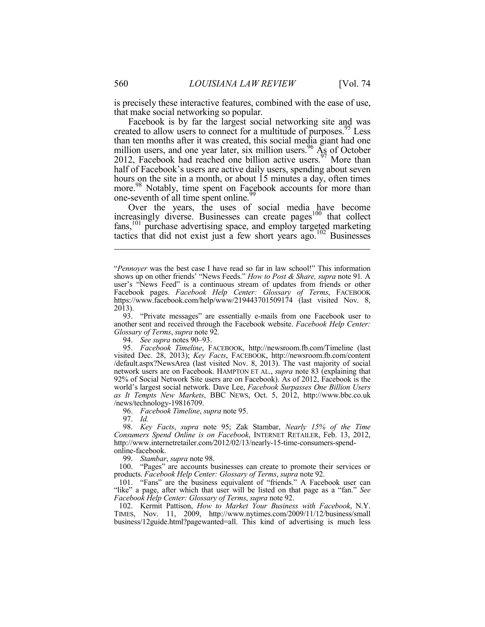is precisely these interactive features, combined with the ease of use, that make social networking so popular.

Facebook is by far the largest social networking site and was created to allow users to connect for a multitude of purposes.<sup>95</sup> Less than ten months after it was created, this social media giant had one million users, and one year later, six million users.<sup>96</sup>  $\overline{A}$ <sub>2</sub> of October 2012, Facebook had reached one billion active users.  $97$  More than half of Facebook's users are active daily users, spending about seven hours on the site in a month, or about 15 minutes a day, often times more.<sup>98</sup> Notably, time spent on Facebook accounts for more than one-seventh of all time spent online.<sup>99</sup>

Over the years, the uses of social media have become increasingly diverse. Businesses can create pages<sup>100</sup> that collect fans,101 purchase advertising space, and employ targeted marketing tactics that did not exist just a few short years ago.<sup>102</sup> Businesses

 93. "Private messages" are essentially e-mails from one Facebook user to another sent and received through the Facebook website. *Facebook Help Center: Glossary of Terms*, *supra* note 92.

94. *See supra* notes 90–93.

 95. *Facebook Timeline*, FACEBOOK, http://newsroom.fb.com/Timeline (last visited Dec. 28, 2013); *Key Facts*, FACEBOOK, http://newsroom.fb.com/content /default.aspx?NewsArea (last visited Nov. 8, 2013). The vast majority of social network users are on Facebook. HAMPTON ET AL., *supra* note 83 (explaining that 92% of Social Network Site users are on Facebook). As of 2012, Facebook is the world's largest social network. Dave Lee, *Facebook Surpasses One Billion Users as It Tempts New Markets*, BBC NEWS, Oct. 5, 2012, http://www.bbc.co.uk /news/technology-19816709.

96. *Facebook Timeline*, *supra* note 95.

97. *Id.*

 98. *Key Facts*, *supra* note 95; Zak Stambar, *Nearly 15% of the Time Consumers Spend Online is on Facebook*, INTERNET RETAILER, Feb. 13, 2012, http://www.internetretailer.com/2012/02/13/nearly-15-time-consumers-spendonline-facebook.

99. *Stambar*, *supra* note 98.

 100. "Pages" are accounts businesses can create to promote their services or products. *Facebook Help Center: Glossary of Terms*, *supra* note 92.

 101. "Fans" are the business equivalent of "friends." A Facebook user can "like" a page, after which that user will be listed on that page as a "fan." *See Facebook Help Center: Glossary of Terms*, *supra* note 92.

 102. Kermit Pattison, *How to Market Your Business with Facebook*, N.Y. TIMES, Nov. 11, 2009, http://www.nytimes.com/2009/11/12/business/small business/12guide.html?pagewanted=all. This kind of advertising is much less

<sup>&</sup>quot;*Pennoyer* was the best case I have read so far in law school!" This information shows up on other friends' "News Feeds." *How to Post & Share, supra* note 91*.* A user's "News Feed" is a continuous stream of updates from friends or other Facebook pages. *Facebook Help Center: Glossary of Terms*, FACEBOOK https://www.facebook.com/help/www/219443701509174 (last visited Nov. 8,  $2013$ ).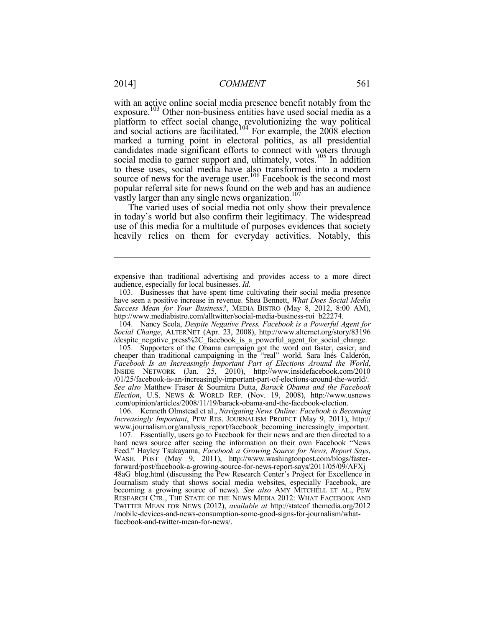with an active online social media presence benefit notably from the exposure.<sup>103</sup> Other non-business entities have used social media as a platform to effect social change, revolutionizing the way political and social actions are facilitated.<sup>104</sup> For example, the  $2008$  election marked a turning point in electoral politics, as all presidential candidates made significant efforts to connect with voters through social media to garner support and, ultimately, votes.<sup>105</sup> In addition to these uses, social media have also transformed into a modern source of news for the average user.<sup>106</sup> Facebook is the second most popular referral site for news found on the web and has an audience vastly larger than any single news organization.<sup>107</sup>

The varied uses of social media not only show their prevalence in today's world but also confirm their legitimacy. The widespread use of this media for a multitude of purposes evidences that society heavily relies on them for everyday activities. Notably, this

 104. Nancy Scola, *Despite Negative Press, Facebook is a Powerful Agent for Social Change*, ALTERNET (Apr. 23, 2008), http://www.alternet.org/story/83196 /despite\_negative\_press%2C\_facebook\_is\_a\_powerful\_agent\_for\_social\_change.

 105. Supporters of the Obama campaign got the word out faster, easier, and cheaper than traditional campaigning in the "real" world. Sara Inés Calderón, *Facebook Is an Increasingly Important Part of Elections Around the World*, INSIDE NETWORK (Jan. 25, 2010), http://www.insidefacebook.com/2010 /01/25/facebook-is-an-increasingly-important-part-of-elections-around-the-world/. *See also* Matthew Fraser & Soumitra Dutta, *Barack Obama and the Facebook Election*, U.S. NEWS & WORLD REP. (Nov. 19, 2008), http://www.usnews .com/opinion/articles/2008/11/19/barack-obama-and-the-facebook-election.

 106. Kenneth Olmstead et al., *Navigating News Online: Facebook is Becoming Increasingly Important*, PEW RES. JOURNALISM PROJECT (May 9, 2011), http:// www.journalism.org/analysis\_report/facebook\_becoming\_increasingly\_important.

 107. Essentially, users go to Facebook for their news and are then directed to a hard news source after seeing the information on their own Facebook "News Feed." Hayley Tsukayama, *Facebook a Growing Source for News, Report Says*, WASH. POST (May 9, 2011), http://www.washingtonpost.com/blogs/fasterforward/post/facebook-a-growing-source-for-news-report-says/2011/05/09/AFXj 48aG\_blog.html (discussing the Pew Research Center's Project for Excellence in Journalism study that shows social media websites, especially Facebook, are becoming a growing source of news). *See also* AMY MITCHELL ET AL., PEW RESEARCH CTR., THE STATE OF THE NEWS MEDIA 2012: WHAT FACEBOOK AND TWITTER MEAN FOR NEWS (2012), *available at* http://stateof themedia.org/2012 /mobile-devices-and-news-consumption-some-good-signs-for-journalism/whatfacebook-and-twitter-mean-for-news/.

expensive than traditional advertising and provides access to a more direct audience, especially for local businesses. *Id.*

 <sup>103.</sup> Businesses that have spent time cultivating their social media presence have seen a positive increase in revenue. Shea Bennett, *What Does Social Media Success Mean for Your Business?*, MEDIA BISTRO (May 8, 2012, 8:00 AM), http://www.mediabistro.com/alltwitter/social-media-business-roi\_b22274.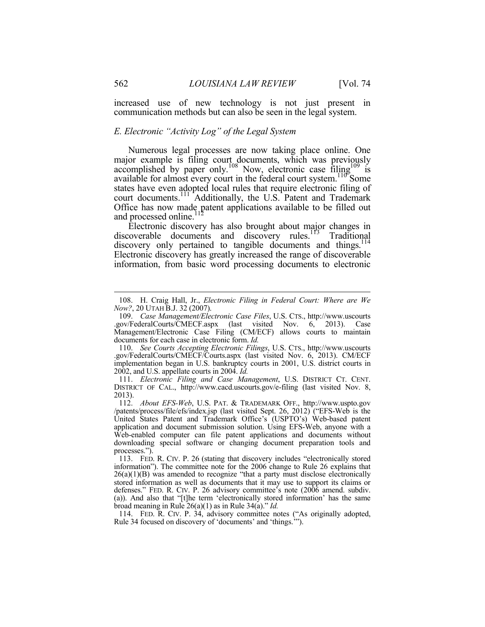increased use of new technology is not just present in communication methods but can also be seen in the legal system.

#### *E. Electronic "Activity Log" of the Legal System*

Numerous legal processes are now taking place online. One major example is filing court documents, which was previously accomplished by paper only.<sup>108</sup> Now, electronic case filing<sup>109</sup> is available for almost every court in the federal court system.<sup>110</sup> Some states have even adopted local rules that require electronic filing of court documents.<sup>111</sup> Additionally, the U.S. Patent and Trademark Office has now made patent applications available to be filled out and processed online.<sup>112</sup>

Electronic discovery has also brought about major changes in discoverable documents and discovery rules.<sup>113</sup> Traditional discovery only pertained to tangible documents and things.<sup>114</sup> Electronic discovery has greatly increased the range of discoverable information, from basic word processing documents to electronic

 <sup>108.</sup> H. Craig Hall, Jr., *Electronic Filing in Federal Court: Where are We Now?*, 20 UTAH B.J. 32 (2007).

 <sup>109.</sup> *Case Management/Electronic Case Files*, U.S. CTS., http://www.uscourts .gov/FederalCourts/CMECF.aspx (last visited Nov. 6, 2013). Case Management/Electronic Case Filing (CM/ECF) allows courts to maintain documents for each case in electronic form. *Id.*

 <sup>110.</sup> *See Courts Accepting Electronic Filings*, U.S. CTS., http://www.uscourts .gov/FederalCourts/CMECF/Courts.aspx (last visited Nov. 6, 2013). CM/ECF implementation began in U.S. bankruptcy courts in 2001, U.S. district courts in 2002, and U.S. appellate courts in 2004. *Id.*

 <sup>111.</sup> *Electronic Filing and Case Management*, U.S. DISTRICT CT. CENT. DISTRICT OF CAL., http://www.cacd.uscourts.gov/e-filing (last visited Nov. 8, 2013).

 <sup>112.</sup> *About EFS-Web*, U.S. PAT. & TRADEMARK OFF., http://www.uspto.gov /patents/process/file/efs/index.jsp (last visited Sept. 26, 2012) ("EFS-Web is the United States Patent and Trademark Office's (USPTO's) Web-based patent application and document submission solution. Using EFS-Web, anyone with a Web-enabled computer can file patent applications and documents without downloading special software or changing document preparation tools and processes.").

 <sup>113.</sup> FED. R. CIV. P. 26 (stating that discovery includes "electronically stored information"). The committee note for the 2006 change to Rule 26 explains that  $26(a)(1)(B)$  was amended to recognize "that a party must disclose electronically stored information as well as documents that it may use to support its claims or defenses." FED. R. CIV. P. 26 advisory committee's note (2006 amend. subdiv. (a)). And also that "[t]he term 'electronically stored information' has the same broad meaning in Rule 26(a)(1) as in Rule 34(a)." *Id.*

 <sup>114.</sup> FED. R. CIV. P. 34, advisory committee notes ("As originally adopted, Rule 34 focused on discovery of 'documents' and 'things.'").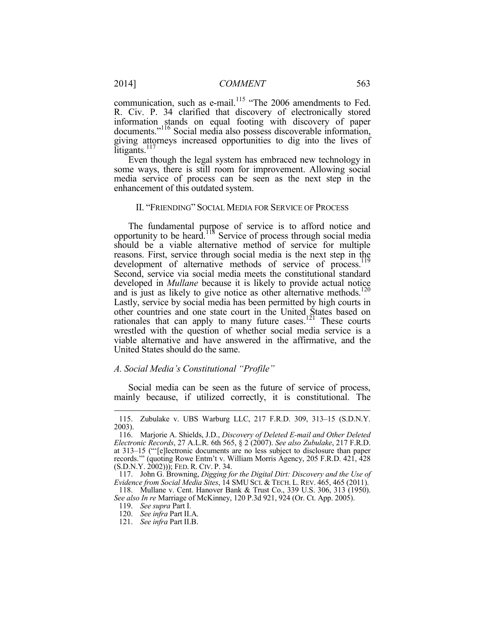communication, such as e-mail.<sup>115</sup> "The 2006 amendments to Fed. R. Civ. P. 34 clarified that discovery of electronically stored information stands on equal footing with discovery of paper documents."116 Social media also possess discoverable information, giving attorneys increased opportunities to dig into the lives of litigants.<sup>117</sup>

Even though the legal system has embraced new technology in some ways, there is still room for improvement. Allowing social media service of process can be seen as the next step in the enhancement of this outdated system.

#### II. "FRIENDING" SOCIAL MEDIA FOR SERVICE OF PROCESS

The fundamental purpose of service is to afford notice and opportunity to be heard.118 Service of process through social media should be a viable alternative method of service for multiple reasons. First, service through social media is the next step in the development of alternative methods of service of process.<sup>119</sup> Second, service via social media meets the constitutional standard developed in *Mullane* because it is likely to provide actual notice and is just as likely to give notice as other alternative methods.<sup>120</sup> Lastly, service by social media has been permitted by high courts in other countries and one state court in the United States based on rationales that can apply to many future cases.121 These courts wrestled with the question of whether social media service is a viable alternative and have answered in the affirmative, and the United States should do the same.

#### *A. Social Media's Constitutional "Profile"*

Social media can be seen as the future of service of process, mainly because, if utilized correctly, it is constitutional. The

 <sup>115.</sup> Zubulake v. UBS Warburg LLC, 217 F.R.D. 309, 313–15 (S.D.N.Y. 2003).

 <sup>116.</sup> Marjorie A. Shields, J.D., *Discovery of Deleted E-mail and Other Deleted Electronic Records*, 27 A.L.R. 6th 565, § 2 (2007). *See also Zubulake*, 217 F.R.D. at 313–15 ("'[e]lectronic documents are no less subject to disclosure than paper records.'" (quoting Rowe Entm't v. William Morris Agency, 205 F.R.D. 421, 428 (S.D.N.Y. 2002))); FED. R. CIV. P. 34.

 <sup>117.</sup> John G. Browning, *Digging for the Digital Dirt: Discovery and the Use of Evidence from Social Media Sites*, 14 SMU SCI. & TECH. L. REV. 465, 465 (2011).

 <sup>118.</sup> Mullane v. Cent. Hanover Bank & Trust Co., 339 U.S. 306, 313 (1950). *See also In re* Marriage of McKinney, 120 P.3d 921, 924 (Or. Ct. App. 2005).

 <sup>119.</sup> *See supra* Part I.

 <sup>120.</sup> *See infra* Part II.A.

 <sup>121.</sup> *See infra* Part II.B.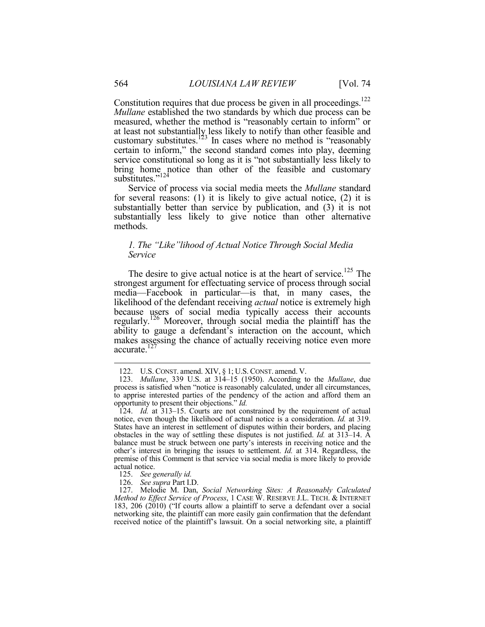Constitution requires that due process be given in all proceedings.<sup>122</sup> *Mullane* established the two standards by which due process can be measured, whether the method is "reasonably certain to inform" or at least not substantially less likely to notify than other feasible and customary substitutes.<sup>123</sup> In cases where no method is "reasonably" certain to inform," the second standard comes into play, deeming service constitutional so long as it is "not substantially less likely to bring home notice than other of the feasible and customary substitutes." $124$ 

Service of process via social media meets the *Mullane* standard for several reasons: (1) it is likely to give actual notice, (2) it is substantially better than service by publication, and (3) it is not substantially less likely to give notice than other alternative methods.

#### *1. The "Like"lihood of Actual Notice Through Social Media Service*

The desire to give actual notice is at the heart of service.<sup>125</sup> The strongest argument for effectuating service of process through social media—Facebook in particular—is that, in many cases, the likelihood of the defendant receiving *actual* notice is extremely high because users of social media typically access their accounts regularly.126 Moreover, through social media the plaintiff has the ability to gauge a defendant's interaction on the account, which makes assessing the chance of actually receiving notice even more accurate.127

 <sup>122.</sup> U.S. CONST. amend. XIV, § 1; U.S. CONST. amend. V.

 <sup>123.</sup> *Mullane*, 339 U.S. at 314–15 (1950). According to the *Mullane*, due process is satisfied when "notice is reasonably calculated, under all circumstances, to apprise interested parties of the pendency of the action and afford them an opportunity to present their objections." *Id.*

 <sup>124.</sup> *Id.* at 313–15. Courts are not constrained by the requirement of actual notice, even though the likelihood of actual notice is a consideration. *Id.* at 319. States have an interest in settlement of disputes within their borders, and placing obstacles in the way of settling these disputes is not justified. *Id.* at 313–14. A balance must be struck between one party's interests in receiving notice and the other's interest in bringing the issues to settlement. *Id.* at 314. Regardless, the premise of this Comment is that service via social media is more likely to provide actual notice.

 <sup>125.</sup> *See generally id.*

 <sup>126.</sup> *See supra* Part I.D.

 <sup>127.</sup> Melodie M. Dan, *Social Networking Sites: A Reasonably Calculated Method to Effect Service of Process*, 1 CASE W. RESERVE J.L. TECH. & INTERNET 183, 206 (2010) ("If courts allow a plaintiff to serve a defendant over a social networking site, the plaintiff can more easily gain confirmation that the defendant received notice of the plaintiff's lawsuit. On a social networking site, a plaintiff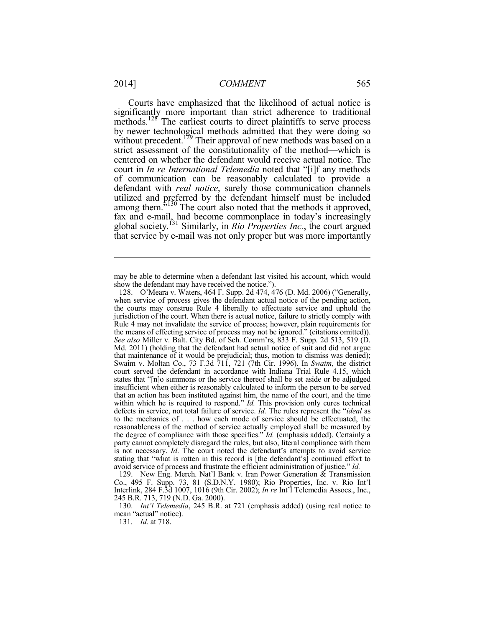1

Courts have emphasized that the likelihood of actual notice is significantly more important than strict adherence to traditional methods.<sup>128</sup> The earliest courts to direct plaintiffs to serve process by newer technological methods admitted that they were doing so without precedent.<sup>129</sup> Their approval of new methods was based on a strict assessment of the constitutionality of the method—which is centered on whether the defendant would receive actual notice. The court in *In re International Telemedia* noted that "[i]f any methods of communication can be reasonably calculated to provide a defendant with *real notice*, surely those communication channels utilized and preferred by the defendant himself must be included among them.<sup>5130</sup> The court also noted that the methods it approved, fax and e-mail, had become commonplace in today's increasingly global society.131 Similarly, in *Rio Properties Inc.*, the court argued that service by e-mail was not only proper but was more importantly

 129. New Eng. Merch. Nat'l Bank v. Iran Power Generation & Transmission Co., 495 F. Supp. 73, 81 (S.D.N.Y. 1980); Rio Properties, Inc. v. Rio Int'l Interlink, 284 F.3d 1007, 1016 (9th Cir. 2002); *In re* Int'l Telemedia Assocs., Inc., 245 B.R. 713, 719 (N.D. Ga. 2000).

 130. *Int'l Telemedia*, 245 B.R. at 721 (emphasis added) (using real notice to mean "actual" notice).

131*. Id.* at 718.

may be able to determine when a defendant last visited his account, which would show the defendant may have received the notice.").

 <sup>128.</sup> O'Meara v. Waters, 464 F. Supp. 2d 474, 476 (D. Md. 2006) ("Generally, when service of process gives the defendant actual notice of the pending action, the courts may construe Rule 4 liberally to effectuate service and uphold the jurisdiction of the court. When there is actual notice, failure to strictly comply with Rule 4 may not invalidate the service of process; however, plain requirements for the means of effecting service of process may not be ignored." (citations omitted)). *See also* Miller v. Balt. City Bd. of Sch. Comm'rs, 833 F. Supp. 2d 513, 519 (D. Md. 2011) (holding that the defendant had actual notice of suit and did not argue that maintenance of it would be prejudicial; thus, motion to dismiss was denied); Swaim v. Moltan Co., 73 F.3d 711, 721 (7th Cir. 1996). In *Swaim*, the district court served the defendant in accordance with Indiana Trial Rule 4.15, which states that "[n]o summons or the service thereof shall be set aside or be adjudged insufficient when either is reasonably calculated to inform the person to be served that an action has been instituted against him, the name of the court, and the time within which he is required to respond." *Id.* This provision only cures technical defects in service, not total failure of service. *Id.* The rules represent the "*ideal* as to the mechanics of . . . how each mode of service should be effectuated, the reasonableness of the method of service actually employed shall be measured by the degree of compliance with those specifics." *Id.* (emphasis added). Certainly a party cannot completely disregard the rules, but also, literal compliance with them is not necessary. *Id*. The court noted the defendant's attempts to avoid service stating that "what is rotten in this record is [the defendant's] continued effort to avoid service of process and frustrate the efficient administration of justice." *Id.*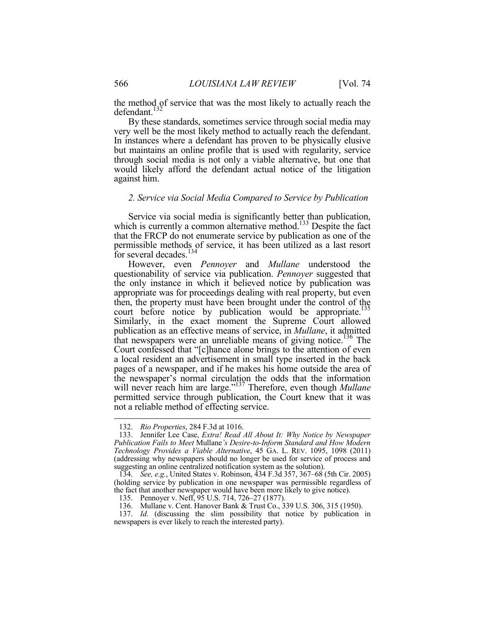the method of service that was the most likely to actually reach the defendant.<sup>132</sup>

By these standards, sometimes service through social media may very well be the most likely method to actually reach the defendant. In instances where a defendant has proven to be physically elusive but maintains an online profile that is used with regularity, service through social media is not only a viable alternative, but one that would likely afford the defendant actual notice of the litigation against him.

#### *2. Service via Social Media Compared to Service by Publication*

Service via social media is significantly better than publication, which is currently a common alternative method.<sup>133</sup> Despite the fact that the FRCP do not enumerate service by publication as one of the permissible methods of service, it has been utilized as a last resort for several decades.<sup>134</sup>

However, even *Pennoyer* and *Mullane* understood the questionability of service via publication. *Pennoyer* suggested that the only instance in which it believed notice by publication was appropriate was for proceedings dealing with real property, but even then, the property must have been brought under the control of the court before notice by publication would be appropriate.<sup>135</sup> Similarly, in the exact moment the Supreme Court allowed publication as an effective means of service, in *Mullane*, it admitted that newspapers were an unreliable means of giving notice.<sup>136</sup> The Court confessed that "[c]hance alone brings to the attention of even a local resident an advertisement in small type inserted in the back pages of a newspaper, and if he makes his home outside the area of the newspaper's normal circulation the odds that the information will never reach him are large."137 Therefore, even though *Mullane* permitted service through publication, the Court knew that it was not a reliable method of effecting service.

 <sup>132.</sup> *Rio Properties*, 284 F.3d at 1016.

 <sup>133.</sup> Jennifer Lee Case, *Extra! Read All About It: Why Notice by Newspaper Publication Fails to Meet* Mullane*'s Desire-to-Inform Standard and How Modern Technology Provides a Viable Alternative*, 45 GA. L. REV. 1095, 1098 (2011) (addressing why newspapers should no longer be used for service of process and suggesting an online centralized notification system as the solution).

 <sup>134.</sup> *See, e.g.*, United States v. Robinson, 434 F.3d 357, 367–68 (5th Cir. 2005) (holding service by publication in one newspaper was permissible regardless of the fact that another newspaper would have been more likely to give notice).

 <sup>135.</sup> Pennoyer v. Neff, 95 U.S. 714, 726–27 (1877).

 <sup>136.</sup> Mullane v. Cent. Hanover Bank & Trust Co., 339 U.S. 306, 315 (1950).

 <sup>137.</sup> *Id.* (discussing the slim possibility that notice by publication in newspapers is ever likely to reach the interested party).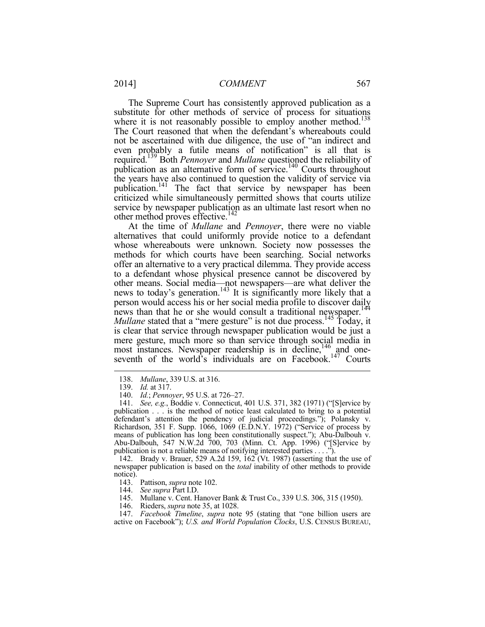The Supreme Court has consistently approved publication as a substitute for other methods of service of process for situations where it is not reasonably possible to employ another method.<sup>138</sup> The Court reasoned that when the defendant's whereabouts could not be ascertained with due diligence, the use of "an indirect and even probably a futile means of notification" is all that is required.139 Both *Pennoyer* and *Mullane* questioned the reliability of publication as an alternative form of service.<sup>140</sup> Courts throughout the years have also continued to question the validity of service via publication.141 The fact that service by newspaper has been criticized while simultaneously permitted shows that courts utilize service by newspaper publication as an ultimate last resort when no other method proves effective.<sup>142</sup>

At the time of *Mullane* and *Pennoyer*, there were no viable alternatives that could uniformly provide notice to a defendant whose whereabouts were unknown. Society now possesses the methods for which courts have been searching. Social networks offer an alternative to a very practical dilemma. They provide access to a defendant whose physical presence cannot be discovered by other means. Social media—not newspapers—are what deliver the news to today's generation.<sup>143</sup> It is significantly more likely that a person would access his or her social media profile to discover daily news than that he or she would consult a traditional newspaper.<sup>144</sup> *Mullane* stated that a "mere gesture" is not due process.<sup>145</sup> Today, it is clear that service through newspaper publication would be just a mere gesture, much more so than service through social media in most instances. Newspaper readership is in decline,<sup>146</sup> and oneseventh of the world's individuals are on Facebook.<sup>147</sup> Courts

1

 142. Brady v. Brauer, 529 A.2d 159, 162 (Vt. 1987) (asserting that the use of newspaper publication is based on the *total* inability of other methods to provide notice).

- 143. Pattison, *supra* note 102.
- 144. *See supra* Part I.D.

146. Rieders, *supra* note 35, at 1028.

 147. *Facebook Timeline*, *supra* note 95 (stating that "one billion users are active on Facebook"); *U.S. and World Population Clocks*, U.S. CENSUS BUREAU,

 <sup>138.</sup> *Mullane*, 339 U.S. at 316.

 <sup>139.</sup> *Id.* at 317.

 <sup>140.</sup> *Id.*; *Pennoyer*, 95 U.S. at 726–27.

 <sup>141.</sup> *See, e.g.*, Boddie v. Connecticut, 401 U.S. 371, 382 (1971) ("[S]ervice by publication . . . is the method of notice least calculated to bring to a potential defendant's attention the pendency of judicial proceedings."); Polansky v. Richardson, 351 F. Supp. 1066, 1069 (E.D.N.Y. 1972) ("Service of process by means of publication has long been constitutionally suspect."); Abu-Dalbouh v. Abu-Dalbouh, 547 N.W.2d 700, 703 (Minn. Ct. App. 1996) ("[S]ervice by publication is not a reliable means of notifying interested parties . . . .").

 <sup>145.</sup> Mullane v. Cent. Hanover Bank & Trust Co., 339 U.S. 306, 315 (1950).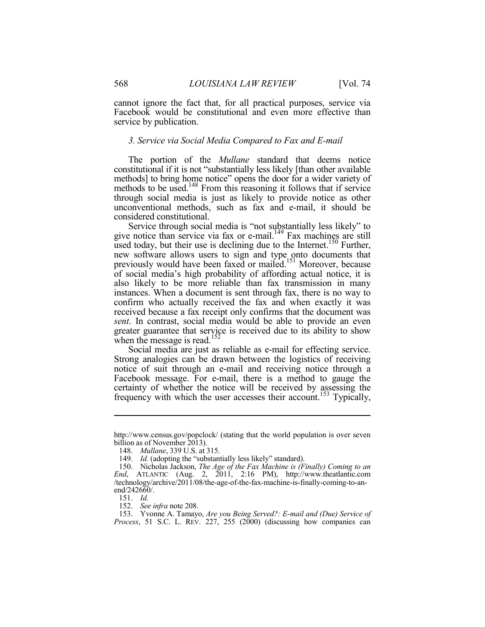cannot ignore the fact that, for all practical purposes, service via Facebook would be constitutional and even more effective than service by publication.

#### *3. Service via Social Media Compared to Fax and E-mail*

The portion of the *Mullane* standard that deems notice constitutional if it is not "substantially less likely [than other available methods] to bring home notice" opens the door for a wider variety of methods to be used.<sup>148</sup> From this reasoning it follows that if service through social media is just as likely to provide notice as other unconventional methods, such as fax and e-mail, it should be considered constitutional.

Service through social media is "not substantially less likely" to give notice than service via fax or e-mail.<sup>149</sup> Fax machines are still used today, but their use is declining due to the Internet.<sup>150</sup> Further, new software allows users to sign and type onto documents that previously would have been faxed or mailed.<sup>151</sup> Moreover, because of social media's high probability of affording actual notice, it is also likely to be more reliable than fax transmission in many instances. When a document is sent through fax, there is no way to confirm who actually received the fax and when exactly it was received because a fax receipt only confirms that the document was *sent*. In contrast, social media would be able to provide an even greater guarantee that service is received due to its ability to show when the message is read.<sup>152</sup>

Social media are just as reliable as e-mail for effecting service. Strong analogies can be drawn between the logistics of receiving notice of suit through an e-mail and receiving notice through a Facebook message. For e-mail, there is a method to gauge the certainty of whether the notice will be received by assessing the frequency with which the user accesses their account.153 Typically,

http://www.census.gov/popclock/ (stating that the world population is over seven billion as of November 2013).

 <sup>148.</sup> *Mullane*, 339 U.S. at 315.

<sup>149.</sup> *Id.* (adopting the "substantially less likely" standard).

 <sup>150.</sup> Nicholas Jackson, *The Age of the Fax Machine is (Finally) Coming to an End*, ATLANTIC (Aug. 2, 2011, 2:16 PM), http://www.theatlantic.com /technology/archive/2011/08/the-age-of-the-fax-machine-is-finally-coming-to-anend/242660/.

 <sup>151.</sup> *Id.*

 <sup>152.</sup> *See infra* note 208.

 <sup>153.</sup> Yvonne A. Tamayo, *Are you Being Served?: E-mail and (Due) Service of Process*, 51 S.C. L. REV. 227, 255 (2000) (discussing how companies can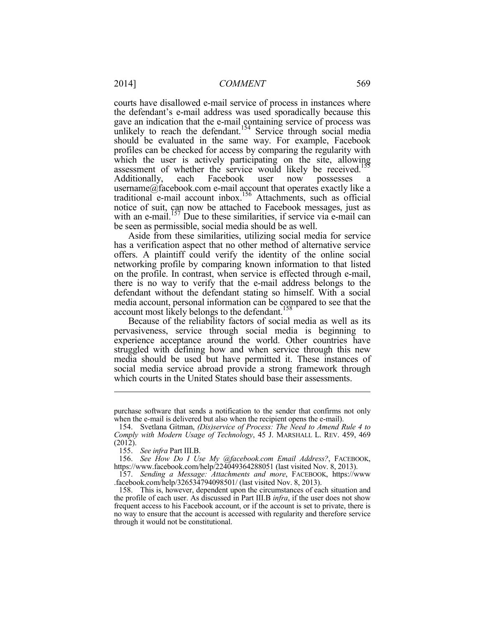courts have disallowed e-mail service of process in instances where the defendant's e-mail address was used sporadically because this gave an indication that the e-mail containing service of process was unlikely to reach the defendant.<sup>154</sup> Service through social media should be evaluated in the same way. For example, Facebook profiles can be checked for access by comparing the regularity with which the user is actively participating on the site, allowing assessment of whether the service would likely be received.<sup>155</sup> Additionally, each Facebook user now possesses username@facebook.com e-mail account that operates exactly like a traditional e-mail account inbox.156 Attachments, such as official notice of suit, can now be attached to Facebook messages, just as with an e-mail.<sup>157</sup> Due to these similarities, if service via e-mail can be seen as permissible, social media should be as well.

Aside from these similarities, utilizing social media for service has a verification aspect that no other method of alternative service offers. A plaintiff could verify the identity of the online social networking profile by comparing known information to that listed on the profile. In contrast, when service is effected through e-mail, there is no way to verify that the e-mail address belongs to the defendant without the defendant stating so himself. With a social media account, personal information can be compared to see that the account most likely belongs to the defendant.<sup>158</sup>

Because of the reliability factors of social media as well as its pervasiveness, service through social media is beginning to experience acceptance around the world. Other countries have struggled with defining how and when service through this new media should be used but have permitted it. These instances of social media service abroad provide a strong framework through which courts in the United States should base their assessments.

purchase software that sends a notification to the sender that confirms not only when the e-mail is delivered but also when the recipient opens the e-mail).

 <sup>154.</sup> Svetlana Gitman, *(Dis)service of Process: The Need to Amend Rule 4 to Comply with Modern Usage of Technology*, 45 J. MARSHALL L. REV. 459, 469 (2012).

 <sup>155.</sup> *See infra* Part III.B.

 <sup>156.</sup> *See How Do I Use My @facebook.com Email Address?*, FACEBOOK, https://www.facebook.com/help/224049364288051 (last visited Nov. 8, 2013).

 <sup>157.</sup> *Sending a Message: Attachments and more*, FACEBOOK, https://www .facebook.com/help/326534794098501/ (last visited Nov. 8, 2013).

 <sup>158.</sup> This is, however, dependent upon the circumstances of each situation and the profile of each user. As discussed in Part III.B *infra*, if the user does not show frequent access to his Facebook account, or if the account is set to private, there is no way to ensure that the account is accessed with regularity and therefore service through it would not be constitutional.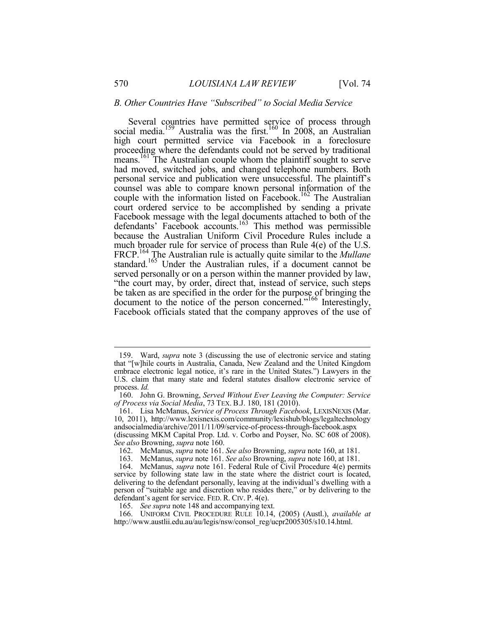#### *B. Other Countries Have "Subscribed" to Social Media Service*

Several countries have permitted service of process through social media.<sup>159</sup> Australia was the first.<sup>160</sup> In 2008, an Australian high court permitted service via Facebook in a foreclosure proceeding where the defendants could not be served by traditional means.<sup>161</sup> The Australian couple whom the plaintiff sought to serve had moved, switched jobs, and changed telephone numbers. Both personal service and publication were unsuccessful. The plaintiff's counsel was able to compare known personal information of the couple with the information listed on Facebook.<sup>162</sup> The Australian court ordered service to be accomplished by sending a private Facebook message with the legal documents attached to both of the defendants' Facebook accounts.<sup>163</sup> This method was permissible because the Australian Uniform Civil Procedure Rules include a much broader rule for service of process than Rule 4(e) of the U.S. FRCP.164 The Australian rule is actually quite similar to the *Mullane*  standard.<sup>165</sup> Under the Australian rules, if a document cannot be served personally or on a person within the manner provided by law, "the court may, by order, direct that, instead of service, such steps be taken as are specified in the order for the purpose of bringing the document to the notice of the person concerned."166 Interestingly, Facebook officials stated that the company approves of the use of

 <sup>159.</sup> Ward, *supra* note 3 (discussing the use of electronic service and stating that "[w]hile courts in Australia, Canada, New Zealand and the United Kingdom embrace electronic legal notice, it's rare in the United States.") Lawyers in the U.S. claim that many state and federal statutes disallow electronic service of process. *Id.*

 <sup>160.</sup> John G. Browning, *Served Without Ever Leaving the Computer: Service of Process via Social Media*, 73 TEX. B.J. 180, 181 (2010).

 <sup>161.</sup> Lisa McManus, *Service of Process Through Facebook*, LEXISNEXIS (Mar. 10, 2011), http://www.lexisnexis.com/community/lexishub/blogs/legaltechnology andsocialmedia/archive/2011/11/09/service-of-process-through-facebook.aspx (discussing MKM Capital Prop. Ltd. v. Corbo and Poyser, No. SC 608 of 2008). *See also* Browning, *supra* note 160.

 <sup>162.</sup> McManus, *supra* note 161. *See also* Browning, *supra* note 160, at 181.

 <sup>163.</sup> McManus, *supra* note 161. *See also* Browning, *supra* note 160, at 181.

 <sup>164.</sup> McManus, *supra* note 161. Federal Rule of Civil Procedure 4(e) permits service by following state law in the state where the district court is located, delivering to the defendant personally, leaving at the individual's dwelling with a person of "suitable age and discretion who resides there," or by delivering to the defendant's agent for service. FED. R. CIV. P. 4(e).

 <sup>165.</sup> *See supra* note 148 and accompanying text.

 <sup>166.</sup> UNIFORM CIVIL PROCEDURE RULE 10.14, (2005) (Austl.), *available at* http://www.austlii.edu.au/au/legis/nsw/consol\_reg/ucpr2005305/s10.14.html.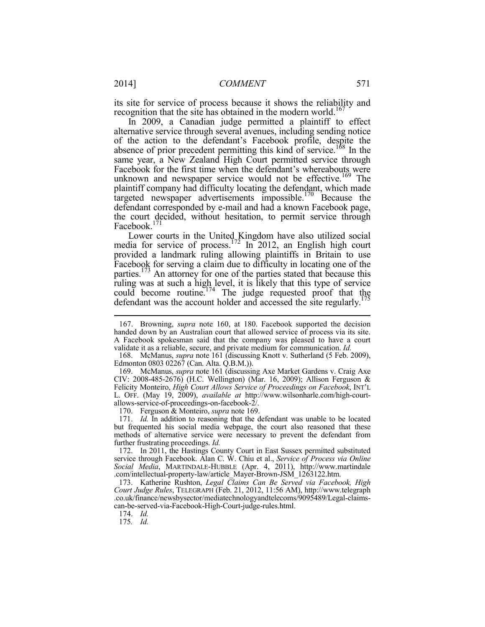its site for service of process because it shows the reliability and recognition that the site has obtained in the modern world.<sup>167</sup>

In 2009, a Canadian judge permitted a plaintiff to effect alternative service through several avenues, including sending notice of the action to the defendant's Facebook profile, despite the absence of prior precedent permitting this kind of service.<sup>168</sup> In the same year, a New Zealand High Court permitted service through Facebook for the first time when the defendant's whereabouts were unknown and newspaper service would not be effective.<sup>169</sup> The plaintiff company had difficulty locating the defendant, which made targeted newspaper advertisements impossible.<sup>170</sup> Because the defendant corresponded by e-mail and had a known Facebook page, the court decided, without hesitation, to permit service through Facebook.<sup>171</sup>

Lower courts in the United Kingdom have also utilized social media for service of process.<sup>172</sup> In 2012, an English high court provided a landmark ruling allowing plaintiffs in Britain to use Facebook for serving a claim due to difficulty in locating one of the parties.<sup>173</sup> An attorney for one of the parties stated that because this ruling was at such a high level, it is likely that this type of service could become routine.<sup>174</sup> The judge requested proof that the defendant was the account holder and accessed the site regularly.<sup>175</sup>

170. Ferguson & Monteiro, *supra* note 169.

174. *Id.*

175*. Id.*

 <sup>167.</sup> Browning, *supra* note 160, at 180. Facebook supported the decision handed down by an Australian court that allowed service of process via its site. A Facebook spokesman said that the company was pleased to have a court validate it as a reliable, secure, and private medium for communication.  $Id$ .

<sup>168.</sup> McManus, *supra* note 161 (discussing Knott v. Sutherland (5 Feb. 2009), Edmonton 0803 02267 (Can. Alta. Q.B.M.)).

 <sup>169.</sup> McManus, *supra* note 161 (discussing Axe Market Gardens v. Craig Axe CIV: 2008-485-2676) (H.C. Wellington) (Mar. 16, 2009); Allison Ferguson & Felicity Monteiro, *High Court Allows Service of Proceedings on Facebook*, INT'L L. OFF. (May 19, 2009), *available at* http://www.wilsonharle.com/high-courtallows-service-of-proceedings-on-facebook-2/.

 <sup>171.</sup> *Id.* In addition to reasoning that the defendant was unable to be located but frequented his social media webpage, the court also reasoned that these methods of alternative service were necessary to prevent the defendant from further frustrating proceedings. *Id.*

 <sup>172.</sup> In 2011, the Hastings County Court in East Sussex permitted substituted service through Facebook. Alan C. W. Chiu et al., *Service of Process via Online Social Media*, MARTINDALE-HUBBLE (Apr. 4, 2011), http://www.martindale .com/intellectual-property-law/article\_Mayer-Brown-JSM\_1263122.htm.

 <sup>173.</sup> Katherine Rushton, *Legal Claims Can Be Served via Facebook, High Court Judge Rules*, TELEGRAPH (Feb. 21, 2012, 11:56 AM), http://www.telegraph .co.uk/finance/newsbysector/mediatechnologyandtelecoms/9095489/Legal-claimscan-be-served-via-Facebook-High-Court-judge-rules.html.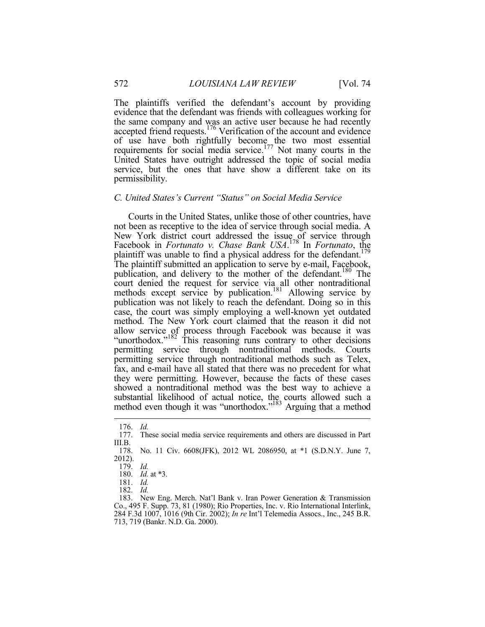The plaintiffs verified the defendant's account by providing evidence that the defendant was friends with colleagues working for the same company and was an active user because he had recently accepted friend requests.<sup>176</sup> Verification of the account and evidence of use have both rightfully become the two most essential requirements for social media service.<sup>177</sup> Not many courts in the United States have outright addressed the topic of social media service, but the ones that have show a different take on its permissibility.

# *C. United States's Current "Status" on Social Media Service*

Courts in the United States, unlike those of other countries, have not been as receptive to the idea of service through social media. A New York district court addressed the issue of service through Facebook in *Fortunato v. Chase Bank USA*. 178 In *Fortunato*, the plaintiff was unable to find a physical address for the defendant.<sup>179</sup> The plaintiff submitted an application to serve by e-mail, Facebook, publication, and delivery to the mother of the defendant.<sup>180</sup> The court denied the request for service via all other nontraditional methods except service by publication.<sup>181</sup> Allowing service by publication was not likely to reach the defendant. Doing so in this case, the court was simply employing a well-known yet outdated method. The New York court claimed that the reason it did not allow service of process through Facebook was because it was "unorthodox."<sup>182</sup> This reasoning runs contrary to other decisions permitting service through nontraditional methods. Courts permitting service through nontraditional methods such as Telex, fax, and e-mail have all stated that there was no precedent for what they were permitting. However, because the facts of these cases showed a nontraditional method was the best way to achieve a substantial likelihood of actual notice, the courts allowed such a method even though it was "unorthodox."<sup>183</sup> Arguing that a method

 <sup>176.</sup> *Id.*

 <sup>177.</sup> These social media service requirements and others are discussed in Part III.B.

 <sup>178.</sup> No. 11 Civ. 6608(JFK), 2012 WL 2086950, at \*1 (S.D.N.Y. June 7, 2012).

 <sup>179.</sup> *Id.*

 <sup>180.</sup> *Id.* at \*3.

 <sup>181.</sup> *Id.*

 <sup>182.</sup> *Id.*

 <sup>183.</sup> New Eng. Merch. Nat'l Bank v. Iran Power Generation & Transmission Co., 495 F. Supp. 73, 81 (1980); Rio Properties, Inc. v. Rio International Interlink, 284 F.3d 1007, 1016 (9th Cir. 2002); *In re* Int'l Telemedia Assocs., Inc., 245 B.R. 713, 719 (Bankr. N.D. Ga. 2000).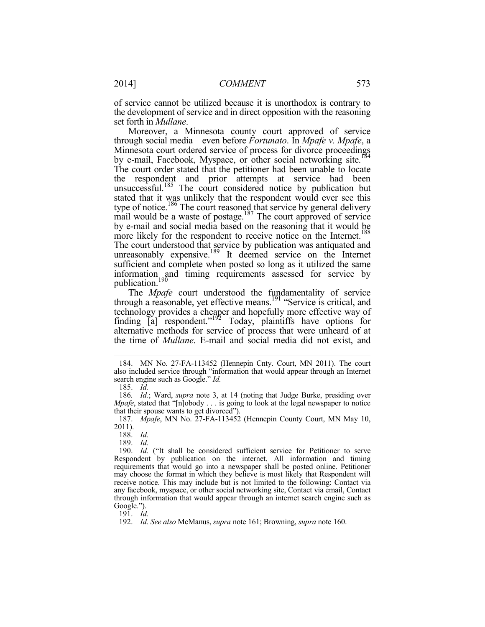of service cannot be utilized because it is unorthodox is contrary to the development of service and in direct opposition with the reasoning set forth in *Mullane*. Moreover, a Minnesota county court approved of service

through social media—even before *Fortunato*. In *Mpafe v. Mpafe*, a Minnesota court ordered service of process for divorce proceedings by e-mail, Facebook, Myspace, or other social networking site.<sup>184</sup> The court order stated that the petitioner had been unable to locate the respondent and prior attempts at service had been unsuccessful.<sup>185</sup> The court considered notice by publication but stated that it was unlikely that the respondent would ever see this type of notice.<sup>186</sup> The court reasoned that service by general delivery mail would be a waste of postage.<sup>187</sup> The court approved of service by e-mail and social media based on the reasoning that it would be more likely for the respondent to receive notice on the Internet.<sup>188</sup> The court understood that service by publication was antiquated and unreasonably expensive.<sup>189</sup> It deemed service on the Internet sufficient and complete when posted so long as it utilized the same information and timing requirements assessed for service by publication.<sup>190</sup>

The *Mpafe* court understood the fundamentality of service through a reasonable, yet effective means.<sup>191</sup> "Service is critical, and technology provides a cheaper and hopefully more effective way of finding  $[a]$  respondent."<sup>192</sup> Today, plaintiffs have options for alternative methods for service of process that were unheard of at the time of *Mullane*. E-mail and social media did not exist, and

<u>.</u>

188. *Id.*

189. *Id.*

 190. *Id.* ("It shall be considered sufficient service for Petitioner to serve Respondent by publication on the internet. All information and timing requirements that would go into a newspaper shall be posted online. Petitioner may choose the format in which they believe is most likely that Respondent will receive notice. This may include but is not limited to the following: Contact via any facebook, myspace, or other social networking site, Contact via email, Contact through information that would appear through an internet search engine such as Google.").

191. *Id.*

 <sup>184.</sup> MN No. 27-FA-113452 (Hennepin Cnty. Court, MN 2011). The court also included service through "information that would appear through an Internet search engine such as Google." *Id.*

 <sup>185.</sup> *Id.*

<sup>186</sup>*. Id.*; Ward, *supra* note 3, at 14 (noting that Judge Burke, presiding over *Mpafe*, stated that "[n]obody . . . is going to look at the legal newspaper to notice that their spouse wants to get divorced").

 <sup>187.</sup> *Mpafe*, MN No. 27-FA-113452 (Hennepin County Court, MN May 10, 2011).

 <sup>192.</sup> *Id. See also* McManus, *supra* note 161; Browning, *supra* note 160.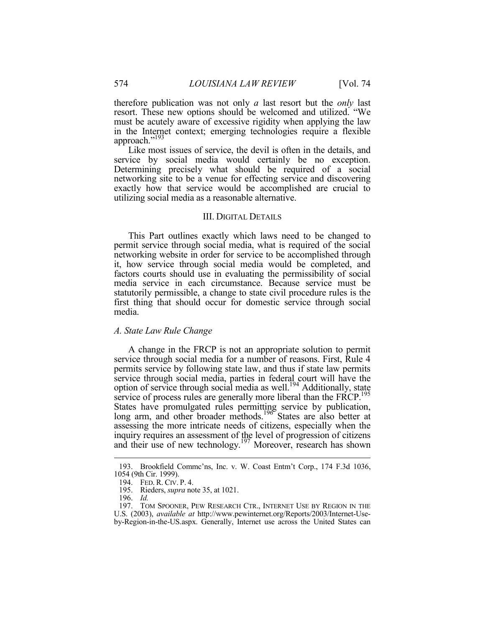therefore publication was not only *a* last resort but the *only* last resort. These new options should be welcomed and utilized. "We must be acutely aware of excessive rigidity when applying the law in the Internet context; emerging technologies require a flexible approach."193

Like most issues of service, the devil is often in the details, and service by social media would certainly be no exception. Determining precisely what should be required of a social networking site to be a venue for effecting service and discovering exactly how that service would be accomplished are crucial to utilizing social media as a reasonable alternative.

#### III. DIGITAL DETAILS

This Part outlines exactly which laws need to be changed to permit service through social media, what is required of the social networking website in order for service to be accomplished through it, how service through social media would be completed, and factors courts should use in evaluating the permissibility of social media service in each circumstance. Because service must be statutorily permissible, a change to state civil procedure rules is the first thing that should occur for domestic service through social media.

#### *A. State Law Rule Change*

A change in the FRCP is not an appropriate solution to permit service through social media for a number of reasons. First, Rule 4 permits service by following state law, and thus if state law permits service through social media, parties in federal court will have the option of service through social media as well.194 Additionally, state service of process rules are generally more liberal than the FRCP.<sup>195</sup> States have promulgated rules permitting service by publication, long arm, and other broader methods.<sup>196</sup> States are also better at assessing the more intricate needs of citizens, especially when the inquiry requires an assessment of the level of progression of citizens and their use of new technology.<sup>197</sup> Moreover, research has shown

 <sup>193.</sup> Brookfield Commc'ns, Inc. v. W. Coast Entm't Corp., 174 F.3d 1036, 1054 (9th Cir. 1999).

 <sup>194.</sup> FED. R. CIV. P. 4.

 <sup>195.</sup> Rieders, *supra* note 35, at 1021.

 <sup>196.</sup> *Id.*

 <sup>197.</sup> TOM SPOONER, PEW RESEARCH CTR., INTERNET USE BY REGION IN THE U.S. (2003), *available at* http://www.pewinternet.org/Reports/2003/Internet-Useby-Region-in-the-US.aspx. Generally, Internet use across the United States can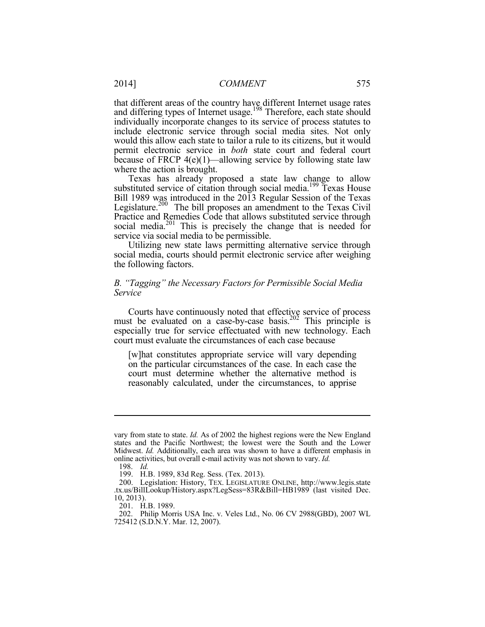that different areas of the country have different Internet usage rates and differing types of Internet usage.<sup>198</sup> Therefore, each state should individually incorporate changes to its service of process statutes to include electronic service through social media sites. Not only would this allow each state to tailor a rule to its citizens, but it would permit electronic service in *both* state court and federal court because of FRCP 4(e)(1)—allowing service by following state law where the action is brought.

Texas has already proposed a state law change to allow substituted service of citation through social media.<sup>199</sup> Texas House Bill 1989 was introduced in the 2013 Regular Session of the Texas Legislature.<sup>200</sup> The bill proposes an amendment to the Texas Civil Practice and Remedies Code that allows substituted service through social media.<sup>201</sup> This is precisely the change that is needed for service via social media to be permissible.

Utilizing new state laws permitting alternative service through social media, courts should permit electronic service after weighing the following factors.

# *B. "Tagging" the Necessary Factors for Permissible Social Media Service*

Courts have continuously noted that effective service of process must be evaluated on a case-by-case basis.<sup>202</sup> This principle is especially true for service effectuated with new technology. Each court must evaluate the circumstances of each case because

[w]hat constitutes appropriate service will vary depending on the particular circumstances of the case. In each case the court must determine whether the alternative method is reasonably calculated, under the circumstances, to apprise

vary from state to state. *Id.* As of 2002 the highest regions were the New England states and the Pacific Northwest; the lowest were the South and the Lower Midwest. *Id.* Additionally, each area was shown to have a different emphasis in online activities, but overall e-mail activity was not shown to vary. *Id.*

 <sup>198.</sup> *Id.* 

 <sup>199.</sup> H.B. 1989, 83d Reg. Sess. (Tex. 2013).

 <sup>200.</sup> Legislation: History, TEX. LEGISLATURE ONLINE, http://www.legis.state .tx.us/BillLookup/History.aspx?LegSess=83R&Bill=HB1989 (last visited Dec. 10, 2013).

 <sup>201.</sup> H.B. 1989.

 <sup>202.</sup> Philip Morris USA Inc. v. Veles Ltd., No. 06 CV 2988(GBD), 2007 WL 725412 (S.D.N.Y. Mar. 12, 2007).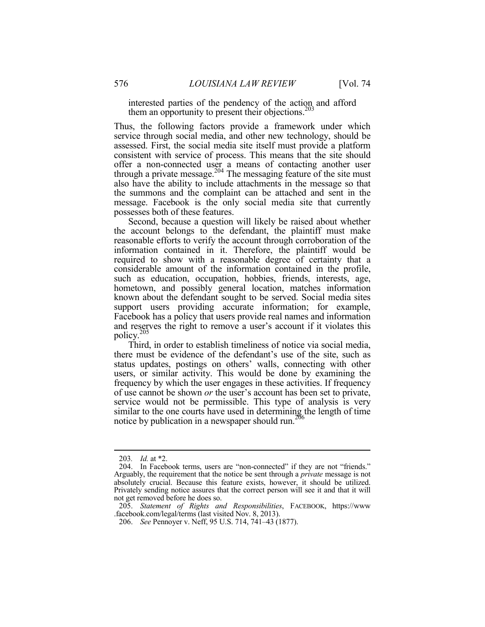interested parties of the pendency of the action and afford them an opportunity to present their objections. $203$ 

Thus, the following factors provide a framework under which service through social media, and other new technology, should be assessed. First, the social media site itself must provide a platform consistent with service of process. This means that the site should offer a non-connected user a means of contacting another user through a private message.<sup>204</sup> The messaging feature of the site must also have the ability to include attachments in the message so that the summons and the complaint can be attached and sent in the message. Facebook is the only social media site that currently possesses both of these features.

Second, because a question will likely be raised about whether the account belongs to the defendant, the plaintiff must make reasonable efforts to verify the account through corroboration of the information contained in it. Therefore, the plaintiff would be required to show with a reasonable degree of certainty that a considerable amount of the information contained in the profile, such as education, occupation, hobbies, friends, interests, age, hometown, and possibly general location, matches information known about the defendant sought to be served. Social media sites support users providing accurate information; for example, Facebook has a policy that users provide real names and information and reserves the right to remove a user's account if it violates this policy.205

Third, in order to establish timeliness of notice via social media, there must be evidence of the defendant's use of the site, such as status updates, postings on others' walls, connecting with other users, or similar activity. This would be done by examining the frequency by which the user engages in these activities. If frequency of use cannot be shown *or* the user's account has been set to private, service would not be permissible. This type of analysis is very similar to the one courts have used in determining the length of time notice by publication in a newspaper should run.<sup>206</sup>

<u>.</u>

<sup>203</sup>*. Id.* at \*2.

 <sup>204.</sup> In Facebook terms, users are "non-connected" if they are not "friends." Arguably, the requirement that the notice be sent through a *private* message is not absolutely crucial. Because this feature exists, however, it should be utilized. Privately sending notice assures that the correct person will see it and that it will not get removed before he does so.

 <sup>205.</sup> *Statement of Rights and Responsibilities*, FACEBOOK, https://www .facebook.com/legal/terms (last visited Nov. 8, 2013).

 <sup>206.</sup> *See* Pennoyer v. Neff, 95 U.S. 714, 741–43 (1877).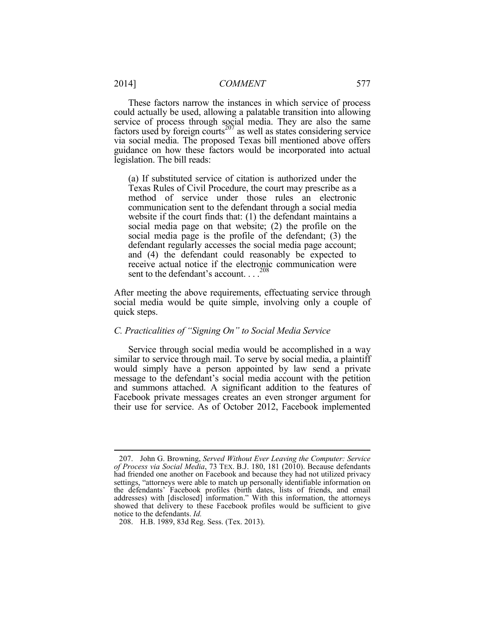These factors narrow the instances in which service of process could actually be used, allowing a palatable transition into allowing service of process through social media. They are also the same factors used by foreign courts<sup>207</sup> as well as states considering service via social media. The proposed Texas bill mentioned above offers guidance on how these factors would be incorporated into actual legislation. The bill reads:

(a) If substituted service of citation is authorized under the Texas Rules of Civil Procedure, the court may prescribe as a method of service under those rules an electronic communication sent to the defendant through a social media website if the court finds that: (1) the defendant maintains a social media page on that website; (2) the profile on the social media page is the profile of the defendant; (3) the defendant regularly accesses the social media page account; and (4) the defendant could reasonably be expected to receive actual notice if the electronic communication were sent to the defendant's account. . . .<sup>208</sup>

After meeting the above requirements, effectuating service through social media would be quite simple, involving only a couple of quick steps.

# *C. Practicalities of "Signing On" to Social Media Service*

Service through social media would be accomplished in a way similar to service through mail. To serve by social media, a plaintiff would simply have a person appointed by law send a private message to the defendant's social media account with the petition and summons attached. A significant addition to the features of Facebook private messages creates an even stronger argument for their use for service. As of October 2012, Facebook implemented

<u>.</u>

 <sup>207.</sup> John G. Browning, *Served Without Ever Leaving the Computer: Service of Process via Social Media*, 73 TEX. B.J. 180, 181 (2010). Because defendants had friended one another on Facebook and because they had not utilized privacy settings, "attorneys were able to match up personally identifiable information on the defendants' Facebook profiles (birth dates, lists of friends, and email addresses) with [disclosed] information." With this information, the attorneys showed that delivery to these Facebook profiles would be sufficient to give notice to the defendants. *Id.*

 <sup>208.</sup> H.B. 1989, 83d Reg. Sess. (Tex. 2013).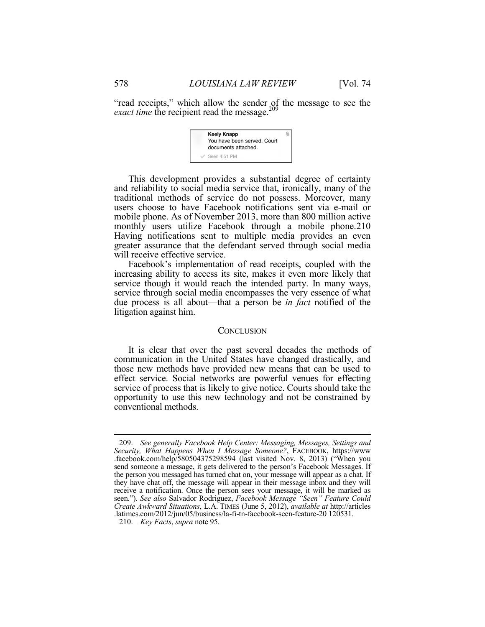"read receipts," which allow the sender of the message to see the *exact time* the recipient read the message.<sup>209</sup>



This development provides a substantial degree of certainty and reliability to social media service that, ironically, many of the traditional methods of service do not possess. Moreover, many users choose to have Facebook notifications sent via e-mail or mobile phone. As of November 2013, more than 800 million active monthly users utilize Facebook through a mobile phone.210 Having notifications sent to multiple media provides an even greater assurance that the defendant served through social media will receive effective service.

Facebook's implementation of read receipts, coupled with the increasing ability to access its site, makes it even more likely that service though it would reach the intended party. In many ways, service through social media encompasses the very essence of what due process is all about—that a person be *in fact* notified of the litigation against him.

#### **CONCLUSION**

It is clear that over the past several decades the methods of communication in the United States have changed drastically, and those new methods have provided new means that can be used to effect service. Social networks are powerful venues for effecting service of process that is likely to give notice. Courts should take the opportunity to use this new technology and not be constrained by conventional methods.

 $\overline{a}$ 

 <sup>209.</sup> *See generally Facebook Help Center: Messaging, Messages, Settings and Security, What Happens When I Message Someone?*, FACEBOOK, https://www .facebook.com/help/580504375298594 (last visited Nov. 8, 2013) ("When you send someone a message, it gets delivered to the person's Facebook Messages. If the person you messaged has turned chat on, your message will appear as a chat. If they have chat off, the message will appear in their message inbox and they will receive a notification. Once the person sees your message, it will be marked as seen."). *See also* Salvador Rodriguez, *Facebook Message "Seen" Feature Could Create Awkward Situations*, L.A. TIMES (June 5, 2012), *available at* http://articles .latimes.com/2012/jun/05/business/la-fi-tn-facebook-seen-feature-20 120531.

 <sup>210.</sup> *Key Facts*, *supra* note 95.